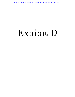Case: 20-73750, 12/21/2020, ID: 11936705, DktEntry: 1-10, Page 1 of 37

# Exhibit D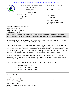# Case: 20-73750, 12/21/2020, ID: 11936705, DktEntry: 1-10, Page 2 of 37

| UNITED STATES<br>U.S. ENVIRONMENTAL PROTECTION AGENCY<br>Office of Pesticide Programs<br>Registration Division (7505P)<br>1200 Pennsylvania Ave., N.W.<br>Washington, D.C. 20460                                                                                                                                                                                                                                                                                                                                                                                                                                                                                                                                                                                                                                                                                                                                                                                                                                                                                                                                                                                                                                    | <b>EPA Reg. Number:</b><br>264-1210                                         | Date of Issuance:<br>10/27/20 |  |  |  |
|---------------------------------------------------------------------------------------------------------------------------------------------------------------------------------------------------------------------------------------------------------------------------------------------------------------------------------------------------------------------------------------------------------------------------------------------------------------------------------------------------------------------------------------------------------------------------------------------------------------------------------------------------------------------------------------------------------------------------------------------------------------------------------------------------------------------------------------------------------------------------------------------------------------------------------------------------------------------------------------------------------------------------------------------------------------------------------------------------------------------------------------------------------------------------------------------------------------------|-----------------------------------------------------------------------------|-------------------------------|--|--|--|
| <b>NOTICE OF PESTICIDE:</b><br>$\underline{X}$ Registration<br>Reregistration                                                                                                                                                                                                                                                                                                                                                                                                                                                                                                                                                                                                                                                                                                                                                                                                                                                                                                                                                                                                                                                                                                                                       | <b>Term of Issuance:</b><br>Unconditional                                   |                               |  |  |  |
| (under FIFRA, as amended)                                                                                                                                                                                                                                                                                                                                                                                                                                                                                                                                                                                                                                                                                                                                                                                                                                                                                                                                                                                                                                                                                                                                                                                           | <b>Name of Pesticide Product:</b><br>XtendiMax with VaporGrip<br>Technology |                               |  |  |  |
| Name and Address of Registrant (include ZIP Code):<br>Bayer CropScience LP<br>801 Pennsylvania Avenue, NW<br>Washington, DC 20004                                                                                                                                                                                                                                                                                                                                                                                                                                                                                                                                                                                                                                                                                                                                                                                                                                                                                                                                                                                                                                                                                   |                                                                             |                               |  |  |  |
| Note: Changes in labeling differing in substance from that accepted in connection with this registration must be submitted to and accepted by the<br>Registration Division prior to use of the label in commerce. In any correspondence on this product always refer to the above EPA registration number.                                                                                                                                                                                                                                                                                                                                                                                                                                                                                                                                                                                                                                                                                                                                                                                                                                                                                                          |                                                                             |                               |  |  |  |
| On the basis of information furnished by the registrant, the above named pesticide is hereby registered<br>under the Federal Insecticide, Fungicide and Rodenticide Act.<br>Registration is in no way to be construed as an endorsement or recommendation of this product by the<br>Agency. In order to protect health and the environment, the Administrator, on his motion, may at any<br>time suspend or cancel the registration of a pesticide in accordance with the Act. The acceptance of any<br>name in connection with the registration of a product under this Act is not to be construed as giving the<br>registrant a right to exclusive use of the name or to its use if it has been covered by others.<br>If the terms outlined below are not complied with, the registration will be subject to cancellation in<br>accordance with FIFRA section 6. Your release for shipment of the product constitutes acceptance of<br>these conditions. A stamped copy of the label is enclosed for your records.<br>Please also note that the record for this product currently contains the following CSFs:<br>Basic CSF dated 7/10/2020<br>Alternate CSF 1 dated 7/10/2020<br>Alternate CSF 2 dated 7/10/2020 |                                                                             |                               |  |  |  |
| <b>Signature of Approving Official:</b>                                                                                                                                                                                                                                                                                                                                                                                                                                                                                                                                                                                                                                                                                                                                                                                                                                                                                                                                                                                                                                                                                                                                                                             | Date:                                                                       |                               |  |  |  |
| Daniel Kenny, Chief<br>Herbicide Branch, Registration Division (7505P)<br><b>EPA Form 8570-6</b>                                                                                                                                                                                                                                                                                                                                                                                                                                                                                                                                                                                                                                                                                                                                                                                                                                                                                                                                                                                                                                                                                                                    | 10/27/20                                                                    |                               |  |  |  |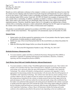Page 2 of 19 EPA Reg. No. 264-1210 Decision No. 564515

Should you wish to add/retain a reference to the company's website on your label, then please be aware that the website becomes labeling under the Federal Insecticide Fungicide and Rodenticide Act and is subject to review by the Agency. If the website is false or misleading, the product would be misbranded and unlawful to sell or distribute under FIFRA section 12(a)(1)(E). 40 CFR 156.10(a)(5) list examples of statements EPA may consider false or misleading. In addition, regardless of whether a website is referenced on your product's label, claims made on the website may not substantially differ from those claims approved through the registration process. Therefore, should the Agency find or if it is brought to our attention that a website contains false or misleading statements or claims substantially differing from the EPA approved registration, the website will be referred to the EPA's Office of Enforcement and Compliance.

This product is unconditionally registered in accordance with FIFRA section  $3(c)(5)$  provided that you comply with the terms listed below. This registration will automatically expire on December 20, 2020.

## *General Terms*

- 1. Submit and/or cite all data required for registration review of your product when the Agency requires all registrants of similar products to submit such data.
- 2. Submit one copy of the revised final printed label for the record before you release the product for shipment.
- 3. Make the following label changes before you release the product for shipment:
	- Revise the EPA Registration Number to read, "EPA Reg. No. 264-1210."

## *Herbicide Resistance Management Plan*

4. You must maintain, update and follow an Herbicide Resistance Management Plan (HRM) as described in Appendix D regarding field detection and remediation, education, evaluation, reporting, and best management practices (BMPs).

## *Tank Mixing, Spray Drift, and Volatility-Reduction Adjuvant Requirements*

5. You must maintain a website at http://XtendiMaxapplicationrequirements.com. That website will include a list of products that have been tested pursuant to Appendix A and found, based upon such testing, not to adversely affect the spray drift properties of XtendiMax with VaporGrip Technology. The website will identify a testing protocol, consistent with Appendix A, that is appropriate for determining whether the tested product will adversely affect the drift properties of XtendiMax with VaporGrip Technology. The website must state that any person seeking to have a product added to the list of approved tank mix partners must perform a study either pursuant to the testing protocol identified on the website or another protocol that has been approved for the particular purpose by EPA, and must submit the test data and results, along with a certification that the studies were performed either pursuant to the testing protocols identified on the website or pursuant to another protocol(s) approved by EPA and that the results of the testing support adding the product to the list of products tested and found not to adversely affect the spray drift properties of XtendiMax with VaporGrip Technology, to Bayer. Bayer will determine whether the testing and results conform to the conditions prescribed in this protocol and, depending on the test conditions and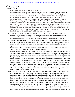Page 3 of 19 EPA Reg. No. 264-1210 Decision No. 564515

results, will either post the product on the website at

http://XtendiMaxapplicationrequirements.com or notify the third-party entity that the product did not meet the requirements for posting. Once notified by a third party, you will add appropriately certified products to the list no more than 90 days after you receive such notice. Testing of tankmix products must be conducted in compliance with procedures as stated forth in Appendix A.

- 6. All test data relating to the impact of tank-mixing any product with XtendiMax with VaporGrip Technology on drift properties of XtendiMax with VaporGrip Technology generated by you or somebody working for you or submitted to Bayer by a third party, along with a certification indicating whether the study was performed either pursuant to the testing protocols identified on the website or pursuant to other protocols approved by EPA and whether the results of the testing support adding the product to the list of products tested and found not to adversely affect the spray drift properties of XtendiMax with VaporGrip Technology, must be retained by Bayer. Any and all such records must be submitted to the EPA's Office of Pesticide Programs upon request.
- 7. The prohibition of using products in a tank-mix with XtendiMax with VaporGrip Technology unless the product used is contained on the list http://XtendiMaxapplicationrequirements.com, and the identification of the website address, shall be included in educational and information materials developed for Bayer, including the materials identified in Appendix D, Section B.
- 8. Testing of any volatility-reduction adjuvant must be conducted in compliance with procedures as set forth in Appendices A and E. Any potential volatility-reduction adjuvant must demonstrate passing results for both wind tunnel testing as set forth in Appendix A and humidome testing set forth in Appendix E.
- 9. Bayer must maintain a Volatility-Reduction Adjuvant tab (may also be called Volatility Reduction Agent, Buffering Adjuvant, or Buffering Agent) on the website at http://XtendiMaxapplicationrequirements.com. The website must identify testing protocols, consistent with Appendices A and E. Products that have been tested pursuant to such testing protocols by Bayer and found, based upon such testing, to meet the passing requirements according to Appendices A and E may be added to the list of approved volatility-reduction adjuvant products on the website tab described above. Bayer must retain copies of all data and analysis from test performed by, or provided to, Bayer based on the Appendices A and E protocols. Upon the Agency's request, copies of such test data and analysis must be submitted to EPA's Office of Pesticide Programs, along with certification indicating whether the study was performed either pursuant to the testing protocols identified on the website or pursuant to other protocols approved by EPA and whether the results of the testing support adding the product(s) to the list of products tested and found to meet the passing requirements of the testing standards in Appendices A and E.
- 10. If a third party requests the addition of a volatility-reduction adjuvant, at the discretion of Bayer, the registrant will perform wind tunnel and humidome studies pursuant to the testing protocols in Appendices A and E or request the third-party to perform such studies. Should registrant decline to perform testing, the third-party entity or a testing facility on their behalf must perform a study pursuant to the testing protocol identified on the website and must submit to Bayer the test data and results, along with certification that the studies were performed pursuant to the testing protocols identified on the website and that the results of the testing support adding the product to the list of approved volatility-reduction adjuvants for XtendiMax with VaporGrip Technology. Bayer will determine whether the testing and results conform to the conditions prescribed in the protocols and, depending on the test conditions and results, will either post the product on the website at http://XtendiMaxapplicationrequirements.com or notify the third-party entity that the product did not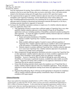Page 4 of 19 EPA Reg. No. 264-1210

Decision No. 564515

meet the requirements for posting. Once notified by a third-party, you will add appropriately certified products to the list no more than 90 days after you receive such notice. Bayer will retain records related to this third-party testing and will supply these records to EPA upon their request.

- 11. The requirement that an approved volatility-reduction adjuvant must always be tank-mixed with XtendiMax with VaporGrip Technology, and the identification of the website address for http://XtendiMaxapplicationrequirements.com containing the list of approved volatility-reduction adjuvants shall be included in educational and information materials developed by or for Bayer, including materials identified in Appendix D, Section B.
- 12. So long as the XtendiMax registration continues to require use of a volatility-reduction adjuvant with every application, Bayer will:
	- a. Take appropriate action(s) to ensure that a sufficient supply of VaporGrip Xtra or any other qualified volatility-reduction adjuvant is in the channels of trade for all XtendiMax applications each year, including quantities of XtendiMax contained in products produced by other registrants. To ensure the supply of qualified volatility-reduction adjuvant is sufficient throughout each season, Bayer will:
		- i. Project and monitor distribution of XtendiMax
		- ii. Monitor available VaporGrip Xtra/ volatility-reduction adjuvant in relevant channels of trade
		- iii. Make available additional supplies if needed to ensure sufficient quantities of VaporGrip Xtra/ volatility-reduction adjuvant are available to allow lawful application of the full quantity of XtendiMax that is available in the channels of trade; and
		- iv. Maintain capacity to produce additional VaporGrip Xtra/ volatility-reduction adjuvants (or to cause more VaporGrip Xtra/ volatility-reduction adjuvants to be produced) whenever any further need is anticipated.
	- b. Make arrangements through appropriate distribution networks to ensure that VaporGrip Xtra or other appropriate volatility-reduction adjuvants are timely available to applicators in all locations where XtendiMax will be applied, before any applicator would apply XtendiMax. Access to VaporGrip Xtra will either be through the same retail outlets as XtendiMax, or if necessary, in particular locations, available from other readily accessible sources. Registrant will timely make available to every applicator information on where VaporGrip Xtra can be ordered or purchased.
	- c. Ensure that all training materials clearly require the mandatory use of VaporGrip Xtra or another volatility-reduction adjuvant with every XtendiMax application. Work with State authorities to ensure that appropriate training occurs before any application of XtendiMax is made.
	- d. Registrant Recordkeeping: Bayer will keep records appropriate to document its compliance with its volatility-reduction adjuvant quantity commitments. Bayer will make records available to EPA upon request.

## *Enhanced Reporting*

Bayer must submit the information identified below to EPA's Office of Pesticide Programs under section 6(a)(2), or under 40 CFR 159.195, unless you have previously submitted that information to EPA's Office of Pesticide Programs. To the extent that this reporting requirement conflicts with or is more narrow than any reporting requirements of section  $6(a)(2)$ , 40 CFR part 159, or EPA's letter of March 27, 2020 pursuant to 40 CFR 159.195(c), the broader reporting requirement applies.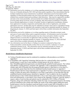Page 5 of 19 EPA Reg. No. 264-1210 Decision No. 564515

- 13. Information received by telephone or in writing regarding potential damage to non-target vegetation from use of dicamba during the 2021-2025 growing seasons regardless of any determination that the incident resulted from misuse (intentional or accidental). Information must be forwarded to EPA regardless of which dicamba product may have been used and/or whether or not the alleged damage resulted from a product being used according to label directions. Data must be organized by product and state to the extent practicable, and must include all available information regarding acreage involved, plant species involved, severity of damage, date and location (coordinates) of incident, known dicamba applications in vicinity of incident, location of application (coordinates), distance from application to incident, temperature and humidity data at time of application, and similar information received. Incident data must be submitted in narrative form and in a spreadsheet format. This information must be submitted with cumulative totals and be submitted annually by January 15 (beginning by January 15, 2022) and final report with all then available information due September 30, 2025.
- 14. Information received by telephone or in writing regarding reports of dicamba-resistant weeds, and cases of weed control failure and/or suspected resistance. All information must be forwarded to EPA regardless of which dicamba product may have been used and/or whether or not the alleged resistance occurred after an application made according to label directions. This information must be submitted annually by January 15 (beginning January 15, 2022) and final report with all then available information due September 30, 2025.
- 15. Any information received by Bayer or finding in an analysis conducted by Bayer that foods/commodities contain dicamba residues that are not covered by a tolerance or exceed established tolerance levels. This information must be submitted annually by January 15 (beginning January 15,2022) and final report with all then available information due September 30, 2025.

#### *Hooded Sprayer Qualification Requirement*

- 16. Testing of hooded sprayers must be conducted in compliance with procedures as set forth in Appendix F.
- 17. If XtendiMax with VaporGrip Technology label provides for a reduced buffer when a qualified hooded sprayer is used, Bayer must maintain a hooded sprayer tab on the website at http://XtendiMaxapplicationrequirements.com identifying the qualified hooded sprayers. The website must identify a testing protocol, consistent with Appendix F, that is appropriate for determining whether spray drift of dicamba from the proposed hooded sprayer is equivalent to or less than (*i.e.*, not statistically greater than) that from the established baseline hooded sprayer in Appendix F. Hooded sprayers that have been tested pursuant to Appendix F by Bayer and found, based upon such testing, to reduce the spray drift of dicamba to a level that is equivalent to or less than that from the established baseline hooded sprayer identified in Appendix F may be added to the list of qualified hooded sprayers on the website tab described above. Bayer must retain copies of all data and analysis from tests performed by, or provided to, Bayer based on the Appendix F protocol. Upon the Agency's request, copies of such test data and analysis must be submitted to EPA's Office of Pesticide Programs, along with certification indicating whether the study was performed pursuant to the testing protocols identified on the website and whether the results of the testing support adding the tested hooded sprayer to the list of products tested and found to result in spray drift of dicamba to a level that is equivalent to or less than that from the established baseline hooded sprayer identified in Appendix F.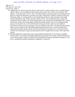Page 6 of 19 EPA Reg. No. 264-1210 Decision No. 564515

- 18. Additionally, the website must state that any other person or entity seeking to have a hooded sprayer added to Bayer's list of qualified hooded sprayers must contact Bayer prior to any testing for this purpose. At the discretion of Bayer, Bayer will either perform a study pursuant to the testing protocol herein or request the third-party to perform such study. Should Bayer decline to perform testing, the third-party entity or a testing facility on their behalf must perform a study pursuant to the testing protocol identified on the website and must submit to Bayer the test data and results, along with certification that the studies were performed pursuant to the testing protocol identified on the website and that the results of the testing support adding the hooded sprayer to the list of qualified hooded sprayers for dicamba. Bayer will certify that the testing and results conform to the conditions prescribed in this protocol and, pursuant to the test conditions and results, will either post the hooded sprayer on the website at http://XtendiMaxapplicationrequirements.com or notify the third-party entity that the hooded sprayer did not meet the requirements for posting. Bayer will retain records related to this third-party testing of hooded sprayers and will supply these records to EPA upon their request.
- 19. Dicamba application requirements when using qualified hooded sprayers, the listing of qualified hooded sprayers on the http://XtendiMaxapplicationrequirements.com website, and the identification of the website address shall be included in educational and information materials developed by or for Bayer, including the materials identified in Appendix D, Section B.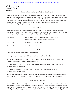#### Case: 20-73750, 12/21/2020, ID: 11936705, DktEntry: 1-10, Page 8 of 37

Page 7 of 19 EPA Reg. No. 264-1210 Decision No. 564515 **Appendix A** 

Testing of Tank Mix Products for Spray Drift Properties

Products proposed for tank-mixing with may be added to the list of products that will not adversely affect the spray drift properties of XtendiMax with VaporGrip Technology contained on the web site if a study is performed under the testing conditions set forth below; the test information is reported as set forth below; and the results are interpreted as set forth below and the interpretation supports adding the tested product to the list of products that will not adversely affect the spray drift properties of XtendiMax with VaporGrip Technology:

#### Testing Conditions

Spray chamber test using conditions described in ASTM E-2798-11; or Wind Tunnel test using conditions described in EPA Final Generic Verification Protocol for Testing Pesticide Application Spray Drift Reduction Technologies for Row and Field Crops (September, 2013)

| Testing Media:        | XtendiMax with VaporGrip Technology $+$ XtendiMax with<br>VaporGrip Technology Proposed Tank Mix Product |
|-----------------------|----------------------------------------------------------------------------------------------------------|
| <b>Test Nozzle:</b>   | Tee Jet® TTI 11004 at 63 psi                                                                             |
| Number of Replicates: | 3 for each tested medium                                                                                 |

#### Reporting

Validation information as summarized in Appendix B

Full droplet spectrum to be reported for each replicate of each tested medium

Perform AGDISP (8.26) modeling run for each replicate droplet spectrum for each tested medium (AGDISP input parameters described in Appendix C)

Establish 110 foot (0.5 lb ae/A rate) spray drift deposition estimates from AGDISP run on each replicate for each tested medium

Establish mean and standard deviation of 110 foot (0.5 lb ae/A rate) deposition for the 3 replicates of each tested medium

One-tail (upper bound) t-test  $(p=0.1)$  to determine if proposed tank-mix product is statistically greater than XtendiMax with VaporGrip Technology 110 foot (0.5 lb ae/A rate) spray drift deposition.

#### Interpretation of Results

If mean 110 foot (0.5 lb ae/A rate) deposition for proposed tank-mix product is not statistically greater than mean 110 foot deposition for XtendiMax with VaporGrip Technology, proposed tank-mix product can be added to the list of products that will not adversely affect the spray drift properties of XtendiMax with VaporGrip Technology contained on the web site. If mean 110 foot (0.5 lb ae/A rate) deposition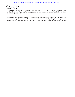# Case: 20-73750, 12/21/2020, ID: 11936705, DktEntry: 1-10, Page 9 of 37

Page 8 of 19 EPA Reg. No. 264-1210

Decision No. 564515

for proposed tank-mix product is statistically greater than mean 110 foot (0.5 lb ae/A rate) deposition for XtendiMax with VaporGrip Technology, proposed tank-mix product cannot be added to the list of products on the web site.

Results from other testing protocols will be acceptable for adding products to the list of products that will not adversely affect the spray drift properties of XtendiMax with VaporGrip Technology provided that EPA has determined in writing that such other protocol is appropriate for such purpose.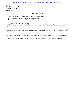#### Case: 20-73750, 12/21/2020, ID: 11936705, DktEntry: 1-10, Page 10 of 37

Page 9 of 19 EPA Reg. No. 264-1210 Decision No. 564515 **Appendix B** 

#### Validation Criteria

a. Detailed information of instrument setting and measurements

- The distance from the nozzle tips to the laser settings

- Measurements of airspeed and flow rate of liquid

b. Detailed information of test substances

- Volume composition and density of XtendiMax with VaporGrip Technology formulation and tank mixes

c. Summary of the entire spray output distribution for each nozzle/tank mixes with statistical analysis of replicates.

d. Graphical outputs of Sympatec Helos laser diffraction particle size analyzer for individual spectrum

e. Report of Dv0.1 (SD), Dv0.5 (SD), and DV0.9 (SD) as well as mean % fines of  $\leq 141 \mu mSD$ )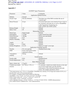Page 10 of 19  $EPA$  Reg. No. 264-1210 Decision No. 564515 Case: 20-73750, 12/21/2020, ID: 11936705, DktEntry: 1-10, Page 11 of 37

# **Appendix C**

| Parameter                                                                                                                                                                                                                                                                                                                                                                                                                                                                                                                                                                                                                   | Value<br>Comments                                |                                                                                                                                                                                                             |  |  |
|-----------------------------------------------------------------------------------------------------------------------------------------------------------------------------------------------------------------------------------------------------------------------------------------------------------------------------------------------------------------------------------------------------------------------------------------------------------------------------------------------------------------------------------------------------------------------------------------------------------------------------|--------------------------------------------------|-------------------------------------------------------------------------------------------------------------------------------------------------------------------------------------------------------------|--|--|
|                                                                                                                                                                                                                                                                                                                                                                                                                                                                                                                                                                                                                             |                                                  | <b>Application Method Section</b>                                                                                                                                                                           |  |  |
| Method                                                                                                                                                                                                                                                                                                                                                                                                                                                                                                                                                                                                                      | Ground                                           |                                                                                                                                                                                                             |  |  |
| Nozzle Type                                                                                                                                                                                                                                                                                                                                                                                                                                                                                                                                                                                                                 | Flat fan (Default)                               | The direct use of the DSD overrides the use of<br>"nozzle type"                                                                                                                                             |  |  |
| <b>Boom Pressure</b>                                                                                                                                                                                                                                                                                                                                                                                                                                                                                                                                                                                                        | 63 psi                                           | If nozzles/tank mixes were tested at 63 psi. It has to<br>be consistent with tank mix as well as XtendiMax<br>with VaporGrip Technology for<br>both TeeJet® and AIXR nozzles                                |  |  |
| Release Height                                                                                                                                                                                                                                                                                                                                                                                                                                                                                                                                                                                                              | 3 <sub>f</sub>                                   | Default                                                                                                                                                                                                     |  |  |
| <b>Spray Lines</b>                                                                                                                                                                                                                                                                                                                                                                                                                                                                                                                                                                                                          | 20                                               | Default                                                                                                                                                                                                     |  |  |
|                                                                                                                                                                                                                                                                                                                                                                                                                                                                                                                                                                                                                             |                                                  | Meteorology Section                                                                                                                                                                                         |  |  |
| Wind Type                                                                                                                                                                                                                                                                                                                                                                                                                                                                                                                                                                                                                   | Single height                                    | Default                                                                                                                                                                                                     |  |  |
| Wind Speed                                                                                                                                                                                                                                                                                                                                                                                                                                                                                                                                                                                                                  | 15 mph                                           | Upper bound from label                                                                                                                                                                                      |  |  |
| <b>Wind Direction</b>                                                                                                                                                                                                                                                                                                                                                                                                                                                                                                                                                                                                       | $-90$ deg                                        | Worst-case and default                                                                                                                                                                                      |  |  |
| Temperature                                                                                                                                                                                                                                                                                                                                                                                                                                                                                                                                                                                                                 | 65F                                              | Default                                                                                                                                                                                                     |  |  |
| <b>Relative Humidity</b>                                                                                                                                                                                                                                                                                                                                                                                                                                                                                                                                                                                                    | 50%                                              | Default                                                                                                                                                                                                     |  |  |
|                                                                                                                                                                                                                                                                                                                                                                                                                                                                                                                                                                                                                             |                                                  | <b>Surface Section</b>                                                                                                                                                                                      |  |  |
| Angles                                                                                                                                                                                                                                                                                                                                                                                                                                                                                                                                                                                                                      | $\overline{0}$                                   | Default                                                                                                                                                                                                     |  |  |
| Canopy                                                                                                                                                                                                                                                                                                                                                                                                                                                                                                                                                                                                                      | None                                             | Default                                                                                                                                                                                                     |  |  |
| <b>Surface Roughness</b>                                                                                                                                                                                                                                                                                                                                                                                                                                                                                                                                                                                                    | $0.12$ ft                                        | Mean of "crops" cover type                                                                                                                                                                                  |  |  |
|                                                                                                                                                                                                                                                                                                                                                                                                                                                                                                                                                                                                                             |                                                  | <b>Application Technique Section</b>                                                                                                                                                                        |  |  |
| <b>Nozzles</b>                                                                                                                                                                                                                                                                                                                                                                                                                                                                                                                                                                                                              | 54, even spacing                                 | Standard boom setup                                                                                                                                                                                         |  |  |
| <b>DSD</b>                                                                                                                                                                                                                                                                                                                                                                                                                                                                                                                                                                                                                  | From wind tunnel results,<br>imported in library |                                                                                                                                                                                                             |  |  |
| Atmospheric<br>stability                                                                                                                                                                                                                                                                                                                                                                                                                                                                                                                                                                                                    | Strong                                           | Default                                                                                                                                                                                                     |  |  |
|                                                                                                                                                                                                                                                                                                                                                                                                                                                                                                                                                                                                                             |                                                  | <b>Swath Section</b>                                                                                                                                                                                        |  |  |
| Swath width                                                                                                                                                                                                                                                                                                                                                                                                                                                                                                                                                                                                                 | 90 ft                                            | Standard boom                                                                                                                                                                                               |  |  |
| Swath displacement                                                                                                                                                                                                                                                                                                                                                                                                                                                                                                                                                                                                          | 0 <sub>ft</sub>                                  | Worst-case                                                                                                                                                                                                  |  |  |
|                                                                                                                                                                                                                                                                                                                                                                                                                                                                                                                                                                                                                             |                                                  | Spray Material Section                                                                                                                                                                                      |  |  |
| Spray volume rate                                                                                                                                                                                                                                                                                                                                                                                                                                                                                                                                                                                                           | $15$ gal/A                                       | From label                                                                                                                                                                                                  |  |  |
| Volatile/nonvolatile<br>fraction                                                                                                                                                                                                                                                                                                                                                                                                                                                                                                                                                                                            | M 1768 at 1.72% v/v                              | To calculate volatile/nonvolatile fraction in the tank<br>mix for the model input, provide detailed<br>information of the tested formulations and tank<br>mixes. See sample calculation, below <sup>1</sup> |  |  |
| <sup>1</sup> The tested mixture was 1.72% (v/v) XtendiMax. XtendiMax has a density of 10.2 lb/gal and contains 42.8% (w/v)<br>dicamba DGA salt (2.9 lb acid equivalent/gal).<br>For example, a 10-gallon batch would contain the following:<br>XtendiMax 1.71% * 10 gal = 0.172 gal ; 0.172 gal * 10.2 lb/gal = 1.753 lb<br>Water 10 gal (1280 fl oz) – 22 fl oz = 1258 fl oz = 82.0157 lb<br>Total weight $1.753$ lb + 82.016 lb = 83.769 lb<br>Active ingredient fraction: 1.753 lb * 42.8% a.i. = 0.75 lb; 0.75 lb/83.769 lb = 0.00896 (dimensionless)<br>Non-volatile fraction: $0.00896/0.428 = 0.021$ (dimensionless) |                                                  |                                                                                                                                                                                                             |  |  |

# AGDISP Input Parameters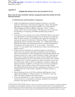Page 11 of 19 EPA Reg. No. 264-73750, 12/21/2020, ID: 11936705, DktEntry: 1-10, Page 12 of 37 Decision No. 564515

#### **Appendix D**

#### **HERBICIDE RESISTANCE MANAGEMENT PLAN**

#### **Bayer must develop a herbicide resistance management plan that includes all of the following elements:**

#### **A. Field Detection and Remediation Components:**

- 1. Update and implement an education program for growers, as set forth under the "Educational / Informational Component," below, that identifies appropriate best management practices (BMPs), as set forth under the "Best Management Practices (BMPs) Component," below, to delay, contain, and/or control weed resistance. This plan must convey to growers the importance of complying with BMPs and addressing resistance concerns.
- 2. If any grower or user informs you of a lack of herbicide efficacy, then you or your representative must (unless denied access by the grower) evaluate the field for "likely resistance" to XtendiMax with VaporGrip Technology for each specific species for which lack of herbicide efficacy is reported by applying the criteria set forth in Norsworthy, *et al*., "Reducing the Risks of Herbicide Resistance: Best Management Practices and Recommendations," Weed Science 2012 Special Issue: 31–62 (*hereinafter "*Norsworthy criteria")<sup>1</sup> in each specific state. If denied access, Bayer must document this denial of access.
- 3. If Bayer receives information of confirmed resistance to dicamba in a specific state for a specific weed species, then Bayer must immediately report such confirmation to EPA and applicable state pesticide authority and extension services (e.g., state in which resistance is found). After that time, Bayer need no longer investigate new reports of lack of herbicide efficacy regarding that specific species in that specific state, but Bayer must continue to comply with A.2. above in regard to any other weed species in any such state and develop, submit to EPA, and implement a strategy to address the ongoing resistance. In addition, for each grower or user in any jurisdiction who reports a lack of efficacy, Bayer must continue to make available stewardship information about resistance management to the grower or user throughout their use of this product, regardless of whether resistance is confirmed.
- 4. Bayer must keep records of all field evaluations and all grower or user reports of lack efficacy or "likely resistance" for a period of 3 years and make such copies available to EPA upon request.
- 5. In any case described in A.2. above where one or more of the Norsworthy criteria are met for a weed species not already confirmed to be resistant to dicamba in that specific state, Bayer must:

 $1$  The Norsworthy "likely herbicide resistance" criteria are: (1) failure to control a weed species normally controlled by the herbicide at the dose applied, especially if control is achieved on adjacent weeds; or (2) a spreading patch of uncontrolled plants of a particular weed species; or (3) surviving plants mixed with controlled individuals of the same species. The identification of any of these criteria in the field indicates that "likely herbicide resistance" is present.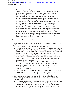Page 12 of 19 EPA Reg. No. 264-73750, 12/21/2020, ID: 11936705, DktEntry: 1-10, Page 13 of 37 Decision No. 564515

> Provide the grower with specific information and recommendations to control and contain likely resistant weeds, including retreatment and/or other non-chemical controls, as appropriate. If requested by grower, Bayer or its agent must continue to provide information and recommendations in the implementation of weed control measures. At the time of the initial determination that one or more of the Norsworthy criteria are met, and prior to any application of alternative control practices, Bayer must request that the grower provide Bayer access to the relevant field(s) to collect sufficient specimens of the likely resistant weeds (potted specimens or seeds) to be able to effectively evaluate the suspected resistant weeds for resistance for further evaluation in the greenhouse or laboratory. Alternately, Bayer may request that the grower or user provide such specimens, at Bayer's expense. If access is granted, Bayer must promptly collect samples of the suspected resistant weeds if available. If viable specimens have been collected, Bayer must commence greenhouse or laboratory studies to confirm whether resistance is present as soon as practicable following sample collection.

#### **B. Educational / Informational Component:**

- 1. Bayer must develop, annually update, provide to EPA and make available to state pesticide authority and extension service, and implement an education program for growers and users that includes the following elements:
	- a. The education program shall identify appropriate best management practices (BMPs), set forth under the "Best Management Practices (BMPs) Component," below, to delay, contain, and/or control weed resistance, and shall convey to growers the importance of complying with BMPs;
	- b. The education program shall include at least one written communication regarding herbicide resistance management each year, directed to users of XtendiMax with VaporGrip Technology for use over-the-top on dicamba tolerant soybean or cotton; and
	- c. Bayer must transmit the BMPs to all users of XtendiMax with VaporGrip Technology. In addition to the other requirements of these Terms and Conditions, this transmittal must describe to growers and users the commitments as described in section A.5 about investigations of suspected dicamba-resistant weeds.
	- d. All Bayer herbicide sales representatives must have immediate access to the education program for distribution to growers, users, extension agents, neighboring landowners, and any other interested stakeholder.
- 2. Bayer must develop, annually update, provide to EPA, and implement an education program on label requirements for growers and users that includes the following elements:
	- a. The education program must include information about how to determine the appropriate buffers so that users have a better understanding what constitutes a buffer on his/her field(s), and recommendations for weed control practices in buffer zones. The education program must also include information on determination of sensitive areas and cutoff date restrictions.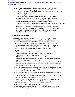Page 13 of 19 EPA Reg. No. 234-73750, 12/21/2020, ID: 11936705, DktEntry: 1-10, Page 14 of 37 Decision No. 564515

- b. Provide training on the use of broadcast hooded sprayers (e.g., what qualifies as hooded sprayer, appropriate uses, manufactures).
- c. Training for sprayer cleanouts (before and after spraying as indicated on labels).
- d. Training for Bulletins Live 2!.
- e. Training on updated record keeping requirements.
- f. Training should be modified to clearly prohibit the use of the dicamba products not intended for use on DT crops for all application timings.
- g. Training on the use of newly required pH buffering adjuvants (volatility-reduction adjuvants) and/or drift reduction adjuvants.
- h. Training on how users/growers can report incidents and control failures to EPA and states.
- i. Provide to EPA the original education program for dicamba users within three months of the issuance of this registration. Provide the educational materials to states that provide their own training. Provide any other stakeholder with educational materials upon request.

#### **C. Evaluation Component:**

- 1. Bayer will annually conduct a survey directed to users of XtendiMax with VaporGrip Technology for use over-the-top of dicamba tolerant soybean or cotton. This survey must be based on a statistically representative sample. The sample size and geographical resolution should be adequate to allow analysis of responses within regions, between regions, and across the United States. Bayer must submit the draft survey to EPA as well as the survey results. This survey shall evaluate, at a minimum, the following:
	- a. Growers' and users' adherence to the terms of the XtendiMax with VaporGrip Technology Use Directions and Label Restrictions, if XtendiMax with VaporGrip Technology is used, and
	- b. Whether growers have encountered any perceived issue with nonperformance or lack of efficacy of XtendiMax with VaporGrip Technology and, if so, how growers have responded.
	- c. Whether growers have reported any issues with non-performance of lack of efficacy of XtendiMax with VaporGrip Technology and how the company representatives have responded.
	- d. A question asking about awareness of public records of resistance (e.g., any awareness of popular press or industry publications on dicamba resistance or suspected resistant biotypes).
	- e. A question directed to asking about awareness of personal/neighbor reports of resistance.
	- f. Application practices for dicamba product applied (rate, time, amount, etc.) to the fields planted with dicamba-resistant seed.
- 2. Utilize the results from the survey described in paragraph 1 of this section to annually review, and modify as appropriate for the upcoming growing season, the following elements of Bayer's resistance management plan:
	- a. Efforts aimed at achieving adoption of BMP's;
	- b. Responses to incidents of likely resistance and confirmed resistance; and
	- c. The education program and effectiveness of information dissemination. At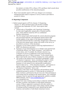Page 14 of 19 EPA Reg. No. 264-73750, 12/21/2020, ID: 11936705, DktEntry: 1-10, Page 15 of 37 Decision No. 564515

> the initiative of either EPA or Bayer, EPA and Bayer shall consult about possible modifications of the education program.

3. Bayer must annually report to EPA any changes to its resistance management plan made in response to survey results as provided in section D.1.below.

## **D. Reporting Component:**

- 1. Submit annual reports to EPA by January 15 (beginning January 15, 2022) and final report with all then available information due September 30, 2025. Such reports shall include:
	- a. Annual sales of XtendiMax with VaporGrip Technology by state and, if applicable, annual sales of (traited seed) by state, which shall be treated by EPA as confidential business information;
	- b. The first annual report shall include the current education program and associated materials, and subsequent annual reports shall include updates of any aspect of the education program and associated materials that have materially changed since submission of the previous annual report, along with results of the survey as described in section C of this document;
	- c. Summary of your efforts aimed at achieving implementation of BMP's by all growers and users;
	- d. Summary of your determinations as to whether each reported lack of herbicide efficacy was "likely resistance," your follow-up actions taken, and, if available, the ultimate outcome (e.g., evaluation of success of additional weed control measures) regarding each case of "likely resistance." In the annual report, Bayer must list the cases of likely resistance by county and state.
	- e. The results of the annual survey described in paragraph 1 under "Evaluation Component," above, including the extent to which growers are implementing herbicide resistance BMPs, and a summary of your annual review and possible modification – based on that survey – of the education program, , and response to reports of likely resistance, described in paragraph 2 under "Evaluation Component," above; and
	- f. Summary of the status of any laboratory and greenhouse testing conducted pursuant to section A.5 following up on incidents of likely resistance, performed in the previous year. Data pertaining to such testing must be included in the annual reports. Any confirmed resistance must be reported through appropriate, publicly available HRM channels, such as www.weedscience.org or www.hracglobal.com.
	- g. Report how many training sessions Bayer conducted, identifying the dates, locations, and numbers of individuals trained per session. If Bayer supported or partnered with other entities to provide training, report the names of the entities and the number of training sessions conducted by each, identifying the dates, locations, and numbers of individuals trained per session.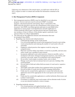Page 15 of 19 EPA Reg. No. 264-73750, 12/21/2020, ID: 11936705, DktEntry: 1-10, Page 16 of 37 Decision No. 564515

Following your submission of the annual report, you shall meet with the EPA at EPA's request in order to evaluate and consider the information contained in the report.

# **E. Best Management Practices (BMPs) Component:**

- 1. Best management practices (BMPs) must be identified in your education program. Growers and users must be advised of BMP's in product literature, educational materials and training. Bayer's transmittal of the BMPs must also describe to growers the commitments in this section of this document. Such BMPs must direct growers and users to scout fields before application to ensure proper weed identification and after application to confirm herbicide effectiveness, and that growers and users should report any incidence of lack of efficacy of this product against a particular weed species to Bayer or a Bayer representative.
- 2. The following are the additional elements and information that must be included in these BMPs:
	- a. Regarding crop selection and cultural practices:
		- i. Understand the biology of the weeds present.
		- ii. Use a diversified approach toward weed management focused on preventing weed seed production and reducing the number of weed seeds in the soil seed-bank.
		- iii. Emphasize cultural practices that suppress weeds by using crop competitiveness.
		- iv. Plant into weed free fields, keep fields as weed free as possible, and note areas where weeds were a problem in prior seasons.
		- v. Incorporate additional weed control practices whenever possible, such as mechanical cultivation, biological management practices, crop rotation, and weed-free crop seeds, aspart of an integrated weed control program.
		- vi. Do not allow weed escapes to produce seeds, roots or tubers.
		- vii. Manage weed seed at harvest and post-harvest to prevent a buildup of the weed seed-bank.
		- viii. Prevent field-to-field and within-field movement of weed seed or vegetative propagules.
		- ix. Thoroughly clean plant residues from equipment before leaving fields.
		- x. Prevent an influx of weeds into the field by managing field borders.
		- xi. Fields must be scouted before application to ensure that herbicides and application rates will be appropriate for the weed species and weed sizes present.
		- xii. Fields must be scouted after application to confirm herbicide effectiveness and to detect weed escapes.
		- xiii. If resistance is suspected, treat weed escapes with an alternate mode of action or use non-chemical methods to remove escapes.
	- b. Regarding herbicide selection:
		- i. Use a broad spectrum soil applied herbicide with a mechanism of action that differs from this product as a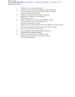Page 16 of 19 EPA Reg. No. 264-73750, 12/21/2020, ID: 11936705, DktEntry: 1-10, Page 17 of 37 Decision No. 564515

foundation in a weed control program.

- ii. A broad spectrum weed control program should consider all of the weeds present in the field. Weeds should be identified through scouting and field history.
- iii. Difficult to control weeds may require sequential applications of herbicides with alternative mechanisms of action.
- iv. Fields with difficult to control weeds should be rotated to crops that allow the use of herbicides with alternative mechanisms of action.
- v. Apply full rates of this herbicide for the most difficult to control weed in the field. Applications should be made when weeds are at the correct size to minimize weed escapes.
- vi. Use of herbicides with differing modes of action is recommended to manage resistance.
- vii. Report any incidence of lack of efficacy of this product against a particular weed species to Bayer or a Bayer representative.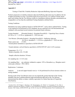Page 17 of 19 EPA Reg. No. 264-73750, 12/21/2020, ID: 11936705, DktEntry: 1-10, Page 18 of 37 Decision No. 564515

# **Appendix E**

Testing of Tank Mix Volatility-Reduction Adjuvants/Buffering Adjuvants Properties

Products proposed as [volatility-reduction adjuvants/buffering adjuvants] may be added to the list of approved products on http://XtendiMaxapplicationrequirements.com website if found, based upon such testing, that the Test Mixture results in a humidome airborne dicamba concentration are comparable to or less than the established Testing Standard as defined below.

Testing Conditions

Humidome test using conditions based on ASTM STP1587\* , such as those outlined below. Testing is not required to be performed to GLP standards, but are expected to be well documented and validated, with associated record retention for potential future reference.

Testing Standard: [Dicamba Product] + Roundup PowerMAX + VaporGrip Xtra or Sentris  $(0.5$  lb a.e./A + 1.125 lb a.e. glyphosate/A + XXX use rate)

 Test Mixture: [Dicamba Product] + Roundup PowerMAX + Buffering Adjuvant  $(0.5$  lb a.e. dicamba/A + 1.125 lb a.e. glyphosate/A + XXX use rate) Water carrier rate: 15 GPA Normal plastic humidome as specified in ASTM STP1587

Treated substrate: soil/soil blend as specified in ASTM STP1587 with 12-22% moisture

Temperature:  $35 \pm 5^{\circ}$  C Relative humidity:  $40 \pm 5\%$  RH

Sample collection duration: 24 hours

Air sampling rate: 1.5-3.0 L/min

Air sampling filter: any substrate validated to capture >95% of dicamba (*e.g.*, fiberglass mesh +  $\cot$ ton pad, cellulose + PUF, MCE)

Replications: 3 minimum

Analysis: A one-tail (upper-bound) t-test ( $\alpha = 0.10$ ) performed for all test mixtures relative to testing standard.

Passing result: If the Test Mixture mean was not statistically greater than that of the Testing Standard, then the [volatilityreduction adjuvant/buffering adjuvant] in the Test Mixture demonstrated the ability to reduce volatility equivalent to or better than that of [VaporGrip Xtra/Sentris].

<sup>\*</sup> Gavlick, W.K., D.R. Wright, A. MacInnes, J.W. Hemminghaus, J.K. Webb, V.I. Yermolenka, W. Su. 2016. A Method to Determine the Relative Volatility of Auxin Herbicide Formulations, Pesticide Formulation and Delivery Systems: 35th Volume, ASTM STP1587. pp. 24-32G. R. Goss, Ed. ASTM International, West Conshohocken, PA.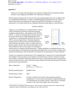Page 18 of 19 EPA Reg. No. 264-73750, 12/21/2020, ID: 11936705, DktEntry: 1-10, Page 19 of 37 Decision No. 564515

#### **Appendix F**

Protocol for Testing of Hooded Sprayers to Qualify for Reduced Downwind Spray Buffer Distances when Applying XtendiMax with VaporGrip Technology

Hooded sprayers proposed for in-crop (over-the-top) dicamba applications may be added to the list of qualified hooded sprayers on http://XtendiMaxapplicationrequirements.com website if found, based upon such testing, that it reduces the spray drift of dicamba to a level that is equivalent to or less than that from the established baseline hooded sprayer as defined below.

#### Testing Conditions

Testing is to be conducted in an Ambient Breeze Tunnel (ABT) controlled environment wind tunnel using the conditions outlined below, with guidance from US EPA  $(2016)^1$ . A section of a hooded sprayer must be placed in the tunnel with the boom length perpendicular to the wind direction. Absorbent pads must line the floor of the ABT to prevent droplet bounce. Dicamba deposition samples must be collected at pre-determined distances downwind from the sprayer. After a 2-minute clear-out period, samples must be retrieved from the farthest to the closest distances relative to the sprayer for subsequent



residue analysis to quantify dicamba deposition. Testing conditions are established herein with the express purpose of producing and comparing drift deposition curves between a baseline and a proposed hooded sprayer and are therefore not intended to be representative of field conditions.

Testing is not required to be performed to GLP standards but is expected to be well-documented and validated, with associated record retention for potential future reference. Results of testing must include a certification indicating whether the study was performed pursuant to this protocol and any deviations from it, and a conclusion stating whether the product tested meets the Passing Result criterion specified below.

| Spray components:          | $Clarity^{\circledR}$ + Induce<br>$(0.5$ lb a.e./A + 0.25% v/v)                                                                                                                                                                                               |
|----------------------------|---------------------------------------------------------------------------------------------------------------------------------------------------------------------------------------------------------------------------------------------------------------|
| Baseline hooded sprayer:   | RedBall <sup>®</sup> 642E                                                                                                                                                                                                                                     |
| Hooded sprayer tested:     | TBD                                                                                                                                                                                                                                                           |
| <b>Boom Configuration:</b> | Contain a minimum of 4 nozzles with spacing according to<br>manufacturer's use directions; fixed position; length perpendicular<br>to wind direction; rear curtain of hood 3 inches above a simulated<br>crop and, at the same boom height, above bare ground |

<sup>1</sup> United States Environmental Protection Agency. 2016. Generic Verification Protocol for Testing Pesticide Application Spray Drift Reduction Technologies for Row and Field Crops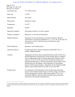| Page 19 of 19<br>EPA Reg. No. 264-1210<br>Decision No. 564515 |                                                                                                                                                                                                                                                                                                                                                                                                                                                                                                                                                                                 |
|---------------------------------------------------------------|---------------------------------------------------------------------------------------------------------------------------------------------------------------------------------------------------------------------------------------------------------------------------------------------------------------------------------------------------------------------------------------------------------------------------------------------------------------------------------------------------------------------------------------------------------------------------------|
| Nozzle/pressure:                                              | TT 11003 at 50 psi                                                                                                                                                                                                                                                                                                                                                                                                                                                                                                                                                              |
| Spray rate:                                                   | 15 GPA                                                                                                                                                                                                                                                                                                                                                                                                                                                                                                                                                                          |
| Spray duration:                                               | 30 seconds                                                                                                                                                                                                                                                                                                                                                                                                                                                                                                                                                                      |
| Wind speed:                                                   | Minimum 10 mph                                                                                                                                                                                                                                                                                                                                                                                                                                                                                                                                                                  |
| Temperature:                                                  | $10-35$ °C                                                                                                                                                                                                                                                                                                                                                                                                                                                                                                                                                                      |
| Humidity:                                                     | 20-80%                                                                                                                                                                                                                                                                                                                                                                                                                                                                                                                                                                          |
| Deposition samplers:                                          | Filter paper on blocks 3-in above ground                                                                                                                                                                                                                                                                                                                                                                                                                                                                                                                                        |
| Number of samplers:                                           | Minimum 3 at each downwind distance                                                                                                                                                                                                                                                                                                                                                                                                                                                                                                                                             |
| Sampler distances:                                            | Minimum 6 downwind distances for analysis purposes; distances<br>should follow a geometric distribution (e.g., $2, 4, 8, 20, 30, 60,$ and 120<br>feet) and cover out to 120 feet but may vary based on study<br>considerations.                                                                                                                                                                                                                                                                                                                                                 |
| Drift simulations:                                            | Minimum 3 per hooded sprayer                                                                                                                                                                                                                                                                                                                                                                                                                                                                                                                                                    |
| Analytical analysis:                                          | Conducted per latest version of analytical method ME-1871 or<br>another validated method <sup>2</sup>                                                                                                                                                                                                                                                                                                                                                                                                                                                                           |
| Analysis:                                                     | Appropriate non-linear and/or generalized linear models will be fit to<br>the drift deposition measurements of each hooded sprayer evaluated.<br>After an appropriate model is selected, deposition estimates will be<br>made at 2, 4, 8, 20, 30, 60, and 120 feet for both the baseline and<br>proposed hooded sprayer. The boom orientation (crop canopy or bare<br>ground) that gives the highest overall deposition for the baseline<br>sprayer will be used for analysis. Deposition for the baseline hooded<br>sprayer must be determined for each day's test in the ABT. |
| Passing result:                                               | If a comparison of the deposition values for the proposed hooded<br>sprayer to the baseline hooded sprayer at 20 feet, using a one-tailed t-<br>test (assuming equal variances, upper bound, alpha= $0.10$ ), is not<br>statistically different, then the proposed hooded sprayer functions<br>equivalent to the baseline hooded sprayer.                                                                                                                                                                                                                                       |

 $^2$  A study conducted with a validated analytical method other than ME-1871 must be accompanied with a report containing the environmental chemistry method, describing in full the analytical method that was used and validated, as well as an independent laboratory validation of the method.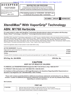Case: 20-73750, 12/21/2020, ID: 11936705, DktEntry: 1-10, Page 21 of 37



Under the Federal Insecticide, Fungicide and Rodenticide Act as amended, for the pesticide registered under

EPA Reg. No. 264-1210

#### **RESTRICTED USE PESTICIDE**

To be used by certified applicators only; NOT to be used by uncertified persons working under the supervision of a certified applicator, except that uncertified persons may transport containers.

This labeling expires on 12/20/2025. DO NOT use or distribute this product after 12/20/2025.

**DICAMBA GROUP 4 HERBICIDE** 

# **XtendiMax® With VaporGrip® Technology**

# **ABN: M1768 Herbicide**

**For weed control in cotton with XtendFlex® Technology (dicamba-tolerant cotton) and soybean with Roundup Ready 2 Xtend® Technology or XtendFlex® Technology (dicamba-tolerant soybean).** 

XtendiMax® With VaporGrip® Technology is approved by U.S. EPA for use in dicamba-tolerant cotton and dicamba-tolerant soybeans only in the following states, subject to county restrictions as noted: Alabama, Arkansas, Arizona, Colorado, Delaware, Florida (excluding Palm Beach County), Georgia, Illinois, Indiana, Iowa, Kansas, Kentucky, Louisiana, Maryland, Michigan, Minnesota, Mississippi, Missouri, Nebraska, New Jersey, New Mexico, New York, North Carolina, North Dakota, Oklahoma, Ohio, Pennsylvania, South Carolina, South Dakota, Tennessee (excluding Wilson County), Texas, Virginia, West Virginia, Wisconsin.

Check the registration status of each product in each state before using.

| <b>ACTIVE INGREDIENT: Dicamba</b>                                                                              |  |
|----------------------------------------------------------------------------------------------------------------|--|
|                                                                                                                |  |
|                                                                                                                |  |
|                                                                                                                |  |
| *Contains 29.0% 3,6-dichloro-o-anisic acid (2.9 pounds acid equivalent per U.S. gallon or 350 grams per liter) |  |

# **EPA Reg. No. 264-RERN EPA Est. No.**

# **CAUTION KEEP OUT OF REACH OF CHILDREN**

**For MEDICAL and TRANSPORTATION Emergencies ONLY Call 24 Hours a Day 1-800-334-7577** 

**For PRODUCT USE Information Call 1-866-99BAYER (1-866-992-2937)** 

**For Incidence of Non-performance or Off-Target Movement or for Questions Regarding Buffer Requirements or Sensitive Crop Registries Call 1-844-RRXTEND (1-844-779-8363)** 

**Please refer to [back panel] [booklet] for additional precautionary statements and directions for use. [Note to reviewer: Location of additional precautionary statements and directions for use will vary between those listed, depending on container type/size.]** 

#### **Net Contents:**

| <b>FIRST AID</b> |                                                                                                                                                                                                                                        |  |
|------------------|----------------------------------------------------------------------------------------------------------------------------------------------------------------------------------------------------------------------------------------|--|
| IF IN EYES:      | Hold eye open and rinse slowly and gently with water for 15 to 20 minutes.<br>Remove contact lenses, if present, after the first 5 minutes, then continue rinsing eye.<br>Call a poison control center or doctor for treatment advice. |  |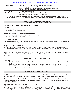# Case: 20-73750, 12/21/2020, ID: 11936705, DktEntry: 1-10, Page 22 of 37

| <b>IF SWALLOWED:</b>                     | Call a poison control center or doctor immediately for treatment advice.<br>Have person sip a glass of water if able to swallow.<br>DO NOT induce vomiting unless told to do so by a poison control center or doctor.<br>DO NOT give anything by mouth to an unconscious person. |
|------------------------------------------|----------------------------------------------------------------------------------------------------------------------------------------------------------------------------------------------------------------------------------------------------------------------------------|
| <b>IF ON SKIN OR</b><br><b>CLOTHING:</b> | Take off contaminated clothing.<br>Rinse skin immediately with plenty of water for 15 to 20 minutes.<br>Call a poison control center or doctor for treatment advice.                                                                                                             |

**In case of emergency, call the toll-free Bayer Emergency Response telephone number: 1-800-334-7577. Have the product container or label with you when calling a poison control center or doctor or when going for treatment.** 

# **PRECAUTIONARY STATEMENTS**

# **HAZARDS TO HUMANS AND DOMESTIC ANIMALS**

#### **CAUTION**

- x Causes moderate eye irritation*.*
- Avoid contact with eyes or clothing.

# **PERSONAL PROTECTIVE EQUIPMENT (PPE)**

**All mixers, loaders, applicators, and other handlers must wear:**

Long-sleeved shirt and long pants

- Waterproof gloves
- Shoes plus socks

Follow the manufacturer's instructions for cleaning and maintaining PPE. If no such instructions for washables exist, use detergent and hot water. Keep and wash PPE separately from other laundry.

# **ENGINEERING CONTROLS**

When handlers use closed systems, or enclosed cabs in a manner that meets the requirements listed in the Worker Protection Standard (WPS) for agricultural pesticides [40 CFR 170.240 (d) (4-6)], the handler PPE requirements may be reduced or modified as specified in the WPS.

IMPORTANT: When reduced PPE is worn because a closed system is being used, handlers must be provided all PPE specified above for "all mixers, loaders, applicators, and other handlers" and have such PPE immediately available for use in an emergency, such as a spill or equipment breakdown.

# **USER SAFETY RECOMMENDATIONS**

User should:

- Wash thoroughly with soap and water after handling and before eating, drinking, chewing gum, using tobacco, or using the toilet.
- Remove clothing/PPE immediately if pesticide gets inside. Then wash thoroughly and put on clean clothing.
- Remove PPE immediately after handling this product. Wash the outside of gloves before removing. As soon as possible, wash thoroughly and change into clean clothing.

# **ENVIRONMENTAL HAZARDS**

DO NOT apply directly to water, or to areas where surface water is present, or to intertidal areas below the mean high-water mark. DO NOT contaminate water when disposing of equipment washwaters or rinsate. Apply this product only as directed on the label.

**Ground Water Advisory:** This chemical is known to leach through soil into ground water under certain conditions as a result of agricultural use. Use of this chemical in areas where soils are permeable, particularly where the water table is shallow, may result in ground water contamination.

## **GROUND AND SURFACE WATER PROTECTION**

**Point source contamination:** To prevent point source contamination, DO NOT mix or load this pesticide product within 50 feet of wells (including abandoned wells and drainage wells), sink holes, perennial or intermittent streams and rivers, and natural or impounded lakes and reservoirs. DO NOT apply pesticide product within 50 feet of wells. This setback does not apply to properly capped or plugged abandoned wells and does not apply to impervious pad or properly diked mixing/loading areas as described below.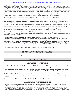## Case: 20-73750, 12/21/2020, ID: 11936705, DktEntry: 1-10, Page 23 of 37

Mixing, loading, rinsing, or washing operations performed within 50 feet of a well are allowed only when conducted on an impervious pad constructed to withstand the weight of the heaviest load that may be on or move across the pad. The pad must be self-contained to prevent surface water flow over or from the pad. The pad capacity must be maintained at 110% that of the largest pesticide container or application equipment used on the pad and have sufficient capacity to contain all product spills, equipment or container leaks, equipment washwaters, and rainwater that may fall on the pad. The containment capacity does not apply to vehicles delivering pesticide shipments to the mixing/loading site. States may have in effect additional requirements regarding wellhead setbacks and operational containment.

Care must be taken when using this product to prevent: a) back siphoning into wells, b) spills, or c) improper disposal of excess pesticide, spray mixtures, or rinsates. Check valves or anti-siphoning devices must be used on all mixing equipment.

**Movement by surface runoff or through soil:** DO NOT apply under conditions that favor runoff. DO NOT apply if soil is saturated with water or when rainfall that may exceed soil field capacity is forecasted to occur within 48 hours.

Under some conditions, dicamba has the potential for runoff several days after application. Poorly draining, wet, or erodible soils with readily visible slopes toward adjacent sensitive areas are more prone to produce runoff. When used on erodible soils, best management practices for minimizing runoff should be employed. Consult your local Soil Conservation Service for recommendations in your use area.

Ground water contamination may occur in areas where soils are permeable or coarse and ground water is near the surface. DO NOT apply to impervious substrates such as paved or highly compacted surfaces in areas with high potential for ground water contamination. DO NOT apply to soils classified as sand with less than 3% organic matter and where ground water depth is shallow.

**Movement by water erosion of treated soil:** DO NOT apply or incorporate this product through any type of irrigation equipment nor by flood or furrow irrigation. Ensure treated areas have received at least one-half inch rainfall (or irrigation) before using tailwater for subsequent irrigation of other fields.

# **PROTECTING ENDANGERED SPECIES / PESTICIDE USE LIMITATION AREAS**

The use of any pesticide in a manner that may kill or otherwise harm an endangered species or adversely modify their habitat is a violation of federal law. Use of this product in a manner inconsistent with its labeling may pose a hazard to endangered or threatened species. **When using this product, you must follow the measures contained in the Endangered Species Protection Bulletin for the area in which you are applying the product.** To obtain Bulletins, no more than six months before using this product, consult https://www.epa.gov/endangered-species/bulletins-live-two-view-bulletins or call 1-844-447-3813. You must use the Bulletin valid for the month in which you will apply the product.

It is a Federal offense to use any pesticide in a manner that results in the death of an endangered species.

# **PHYSICAL OR CHEMICAL HAZARDS**

DO NOT store or heat near oxidizing agents as a hazardous chemical reaction may occur.

# **DIRECTIONS FOR USE**

# **RESTRICTED USE PESTICIDE**

**Only for retail sale to and use by Certified Applicators. NOT to be used by uncertified persons working under the supervision of a certified applicator, except that uncertified persons may transport containers.** 

**It is a violation of Federal law to use this product in any manner inconsistent with its labeling. This labeling must be in the user's possession during application. Read the entire label before using this product.** 

DO NOT apply this product in a way that will contact workers or other persons, either directly or through drift. Only protected handlers may be in the area during application. For any requirements specific to your State or Tribe, consult the agency responsible for pesticide regulation.

**For important crop safety information, refer to the "Specific Use Directions" section for each crop.** 

## **AGRICULTURAL USE REQUIREMENTS**

Use this product only in accordance with its labeling and with the Worker Protection Standard, 40 CFR part 170. This standard contains requirements for the protection of agricultural workers on farms, forests, nurseries, and greenhouses and of handlers of agricultural pesticides. It contains requirements for training, decontamination, and emergency assistance. It also contains specific instructions and exceptions pertaining to the statements on this label about Personal Protective Equipment (PPE), notification to workers, and restricted-entry intervals. The requirements in this box only apply to uses of this product that are covered by the Worker Protection Standard.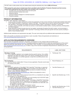DO NOT enter or allow worker entry into treated areas during the restricted-entry interval **(REI) of 24 hours.** 

**PPE required for early entry to treated areas that is permitted under the Worker Protection Standard and that involves contact with anything that has been treated, such as plants, soil, or water is:**

- Coveralls worn over short-sleeved shirt and short pants
- x Chemical-resistant footwear plus socks
- Waterproof gloves
- Chemical-resistant headgear for overhead exposure
- Protective eyewear

## **PRODUCT INFORMATION**

XtendiMax® With VaporGrip® Technology is:

- a water-soluble formulation intended for control and suppression of many annual, biennial, and perennial broadleaf weeds listed in the "Weeds Controlled or Suppressed" section of this label. This product may be used for control of these weeds in cotton with XtendFlex<sup>®</sup> Technology and soybean with Roundup Ready 2 Xtend<sup>®</sup> Technology or XtendFlex<sup>®</sup> Technology.
- a contact, systemic herbicide, with limited soil activity on small seeded broadleaf weeds, including waterhemp, lambsquarters, and Palmer pigweed.
- readily absorbed by plants through shoot and root uptake, translocates throughout the plant's system, and accumulates in areas of active growth. XtendiMax® With VaporGrip® Technology interferes with plant growth hormones (auxins) resulting in death of many broadleaf weeds.

Additional state restrictions and requirements may apply. The user must comply with any additional state requirements and restrictions.

Refer to the specific use directions and restrictions in each crop table. Follow all requirements and restrictions on www.xtendimaxapplicationrequirements.com.

# **APPLICATION REQUIREMENTS OVERVIEW**

Read and follow all applicable restrictions, precautions, and directions on the container label and booklet and at www.xtendimaxapplicationrequirements.com. For product questions or inquiries and/or to report any nonperformance of this product against any particular weed species, call 1-844-RRXTEND (1-844-779-8363). It is recommended that the certified applicator visit www.xtendimaxapplicationrequirements.com to obtain a copy of the Overview of Application Requirements for reference prior to and during application.

| <b>REQUIREMENTS</b>                                                                                                                                                                                                                                                                                                                                                                                                                                                                                                                                                                                                                                                |   | <b>LABEL SECTIONS</b>                                           |
|--------------------------------------------------------------------------------------------------------------------------------------------------------------------------------------------------------------------------------------------------------------------------------------------------------------------------------------------------------------------------------------------------------------------------------------------------------------------------------------------------------------------------------------------------------------------------------------------------------------------------------------------------------------------|---|-----------------------------------------------------------------|
| <b>Mandatory Training:</b><br>Prior to applying, applicator must complete dicamba-specific training. Only certified<br>□<br>applicators may apply this product; NOT to be used by uncertified persons working<br>under the supervision of a certified applicator, except that uncertified persons may<br>transport containers.                                                                                                                                                                                                                                                                                                                                     | ⋗ | Training (pp. 5-6)                                              |
| <b>Record Keeping:</b><br>Records must be created within 72 hours of every application. Records must be kept<br>□<br>for a period of two years.                                                                                                                                                                                                                                                                                                                                                                                                                                                                                                                    | ➤ | Record Keeping (p. 6)                                           |
| <b>Application:</b><br>For EVERY application of XtendiMax <sup>®</sup> With VaporGrip <sup>®</sup> Technology, an approved<br>$\Box$<br>Volatility Reduction Adjuvant (VRA) must be included in the spray solution. An<br>approved Drift Reduction Adjuvant (DRA) must also be included in the spray<br>solution, unless otherwise indicated on<br>www.xtendimaxapplicationrequirements.com. Refer to the website for a list of<br>approved DRAs and VRAs.                                                                                                                                                                                                         | ➤ | Tank Mix Partners (p. 9)                                        |
| Rate and Timing: Apply 22 fluid ounces per acre (0.5 lb. a.e. dicamba) for any single<br>$\Box$<br>pre-emergent or in-crop application in:<br>Cotton with XtendFlex <sup>®</sup> Technology up to and including July 30 (DO NOT apply<br>$\circ$<br>after July 30 regardless of growth stage), and<br>Soybean with Roundup Ready 2 Xtend® Technology or XtendFlex® Technology<br>$\Omega$<br>up to and including June 30. Applications occurring after R1 are prohibited as<br>crop response may occur and in no event can applications be made after June<br>30 regardless of growth stage.<br>For details, see the "Specific Use Directions" section.<br>$\circ$ | ⋗ | Specific Use Directions (pp. 12-14)                             |
| Spray volume: Apply in a minimum of 15 gallons of spray solution per acre.<br>□<br>Tank mixing: Use only approved tank-mix partners found at<br>П<br>www.xtendimaxapplicationrequirements.com.                                                                                                                                                                                                                                                                                                                                                                                                                                                                     |   | Specific Use Directions (pp. 12-14)<br>Tank Mix Partners (p. 9) |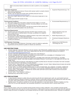|                        | Refer to all product labels to determine mix order or perform a mix compatibility<br>$\circ$<br>test.                                                                                                                                                                                                                                                                                                                                                                                  |                       |                                                                                                                                |
|------------------------|----------------------------------------------------------------------------------------------------------------------------------------------------------------------------------------------------------------------------------------------------------------------------------------------------------------------------------------------------------------------------------------------------------------------------------------------------------------------------------------|-----------------------|--------------------------------------------------------------------------------------------------------------------------------|
| п<br>□<br>$\perp$<br>□ | <b>Application Equipment:</b><br>Spray system equipment cleanout: Ensure entire sprayer system is properly cleaned<br>before and after application.<br>Nozzles: Use only approved nozzles within specified pressures found at<br>www.xtendimaxapplicationrequirements.com.<br>Spray boom height: Maximum boom height is 24 inches above target pest or crop<br>canopy.<br>Ground speed: DO NOT exceed 15 mph.                                                                          | ➤                     | Equipment Requirements (pp. 7-8)                                                                                               |
| □<br>□<br>□            | <b>Environmental Conditions:</b><br>Wind speed: Apply when wind speed, measured at boom height, is 3-10 mph.<br><i>Inversions:</i> DO NOT spray during an inversion; only spray between one hour after<br>sunrise and two hours before sunset.<br>Rainfall: DO NOT apply this product if rain that may exceed soil field capacity and<br>result in soil runoff is forecasted in the next 48 hours.                                                                                     | ➤                     | Environmental Requirements (p. 7)                                                                                              |
| □<br>□<br>$\Box$       | <b>Downwind Requirements:</b><br>Sensitive crops and certain plants downwind: DO NOT apply if sensitive crops<br>and/or certain plants, as defined below in this label, are planted on an adjacent<br>downwind field or area.<br>Downwind buffer: After determining no adjacent sensitive crops and/or certain plants<br>are downwind, maintain a 240-ft downwind buffer.<br>Endangered species: Consult Endangered Species Protection Bulletins for ESA<br>counties and restrictions. | ⋗<br>➤<br>➤           | Adjacent Sensitive Crops and<br>Certain Plants (p. 8)<br>Buffer Requirements (p. 8)<br>Protecting Endangered Species (p.<br>3) |
| □                      | <b>Drift Reduction Technology:</b><br>See "Optional Use of Drift Reduction Technology" section for details on application<br>requirements and the potential to qualify for reduced use restrictions.                                                                                                                                                                                                                                                                                   | $\blacktriangleright$ | Optional Use of Drift Reduction<br>Technology (pp. 8-9)                                                                        |

## **USE RESTRICTIONS**

- DO NOT USE ANY TANK MIX PRODUCT OR ANY NOZZLE AND PRESSURE COMBINATION WITH XTENDIMAX® WITH VAPORGRIP® TECHNOLOGY THAT IS NOT IDENTIFIED ON THE LIST OF APPROVED PRODUCTS FOUND AT www.xtendimaxapplicationrequirements.com.
- DO NOT TANK MIX AMMONIUM SULFATE (AMS) WITH THIS PRODUCT.
- DO NOT EXCEED 88 FLUID OUNCES (2 POUNDS ACID EQUIVALENT (A.E.) DICAMBA) OF XTENDIMAX<sup>®</sup> WITH VAPORGRIP® TECHNOLOGY PER ACRE PER YEAR.
- DO NOT EXCEED 88 FLUID OUNCES (2 POUNDS A.E. DICAMBA) PER ACRE PER YEAR FROM ALL DICAMBA APPLICATIONS IF MORE THAN ONE DICAMBA-CONTAINING PRODUCT IS APPLIED TO THE SAME SITE WITHIN THE SAME YEAR.
- DO NOT MAKE APPLICATION OF THIS PRODUCT IF RAIN IS EXPECTED IN THE NEXT 48 HOURS THAT MAY EXCEED SOIL FIELD CAPACITY AND RESULT IN SOIL RUNOFF.
- DO NOT APPLY THROUGH ANY TYPE OF IRRIGATION EQUIPMENT. DO NOT TREAT IRRIGATION DITCHES OR WATER USED FOR CROP IRRIGATION OR DOMESTIC PURPOSES.
- DO NOT APPLY TO CROPS UNDER STRESS DUE TO LACK OF MOISTURE. HAIL DAMAGE, FLOODING, HERBICIDE INJURY, MECHANICAL INJURY, INSECTS, OR WIDELY FLUCTUATING TEMPERATURES AS INJURY MAY RESULT.
- DO NOT APPLY THIS PRODUCT IF SENSITIVE CROPS AND CERTAIN PLANTS ARE PLANTED ON AN ADJACENT DOWNWIND FIELD OR AREA.
- DO NOT APPLY THIS PRODUCT AERIALLY.
- Restricted Entry Interval (REI): 24 hours.

## **USE PRECAUTIONS**

- In case material is released or spilled: dike and contain the spill with inert material (sand, earth, etc.) and transfer liquid and solid diking material to separate containers for disposal. Remove contaminated clothing and wash affected skin areas with soap and water. Wash clothing before re-use. Keep the spill out of all sewers and open bodies of water.
- Rainfast period: This product is rainfast four (4) hours after application to most weed species. Rainfall or irrigation occurring within four (4) hours after application may necessitate retreatment or may otherwise result in reduced weed control.

#### **TRAINING**

Prior to using this product, users must complete dicamba-specific training to obtain certification. Once completed, dicamba-specific training is then required every other year for all users of this product. If state-specific training is required by the state where the applicator intends to apply this product, the applicator must complete training from the state or state-authorized provider. Otherwise, the applicator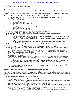#### Case: 20-73750, 12/21/2020, ID: 11936705, DktEntry: 1-10, Page 26 of 37

may complete dicamba-specific training provided either by the state/state-authorized provider or by a registrant of a dicamba product approved for in-crop use with dicamba-tolerant crops.

# **RECORD KEEPING**

The following records must be generated as soon as practical but **no later than 72 hours after application**. The certified applicator must keep these records for a period of **two years**. Records must be made available to State Pesticide Control Official(s), USDA, and EPA upon request. See www.xtendimaxapplicationrequirements.com for an example form summarizing record keeping requirements.

Keep records of the following items for each application of XtendiMax<sup>®</sup> With VaporGrip<sup>®</sup> Technology:

- 1. All Items required by 7 CFR Part 110 (RECORDKEEPING ON RESTRICTED USE PESTICIDES BY CERTIFIED
	- APPLICATORS), including:
		- a. The brand or product name
		- b. The EPA registration number
		- c. The total amount applied
		- d. The month, day, and year of application
		- e. The location of the application
		- f. The crop, commodity, stored product, or site of application
		- g. The size of treated area
		- h. The name of the certified applicator
		- i. The certification number of the certified applicator
	- 2. *Training*: Completion date and provider of required training and proof of completion.
	- 3. *Receipts of Purchase*: Receipts or copies for the purchase of this product.
	- 4. *Product Label*: A copy of this product label and any state special local needs label that supplements this label.
	- 5. *Sensitive Crops and Certain Plants Awareness*:
		- a. Document that a sensitive crop registry was consulted. At a minimum, documentation must include the name of the sensitive crop registry and the date it was consulted.
		- b. Record of a survey of adjacent areas documenting the sensitive crops and/or certain plants (as defined below in the "Adjacent Sensitive Crops and Certain Plants" section of this label) surrounding the field prior to application. At a minimum, records must include documentation of adjacent sensitive crops and/or certain plants and the date the survey was conducted.
	- 6. *Buffer Requirement*: Record of the buffer distance implemented as directed in the "Spray Drift Management" and "Optional Use of Drift Reduction Technology" sections of this label.
	- 7. *Start and Finish Times of Each Application*: Record of the time at which the application started and finished.
	- 8. *Application Timing*: Record of the type of application (for example: preemergence, postemergence) and the number of days after planting if postemergence.
	- 9. *Air Temperature*: Record of the air temperature in degrees Fahrenheit at the start and completion of each application.
	- 10. *Wind Speed and Direction*: Record of the wind speed and direction (the direction from which the wind is blowing) at boom height at the start and completion of each application.
	- 11. *Nozzle and Pressure*: Record of the spray nozzle manufacturer/brand, type, orifice size, and operating pressure used during each application of this product.
	- 12. *Tank Mix Products*: Record of the brand names and EPA registration numbers (if applicable) for all products that were tank mixed with this product for each application, as well as a record of the volume of each added to the tank prior to application.
	- 13. *Mandatory Volatility and Drift Reduction Adjuvants*: Receipts or copies for the purchase of an approved volatility reduction adjuvant, as well as a record of the volume added to the tank prior to application. Receipts or copies for the purchase of an approved DRA and a record of the volume added to the tank prior to application, unless otherwise indicated on www.xtendimaxapplicationrequirements.com.
	- 14. *Spray System Cleanout*: At a minimum, records must include confirmation that the spray system was clean before using this product and that the post-application cleanout was completed in accordance with the "Proper Spray System Equipment Cleanout" section of this label.

## **HERBICIDE RESISTANCE MANAGEMENT RECOMMENDATIONS**

The dicamba active ingredient in XtendiMax® With VaporGrip® Technology is a Group 4 herbicide. Any weed population may contain or develop plants naturally resistant to XtendiMax® With VaporGrip® Technology and other Group 4 herbicides. The resistant biotypes may dominate the weed population if these herbicides are used repeatedly in the same field. Appropriate resistance management strategies should be followed.

To delay herbicide resistance, take one or more of the following steps:

- Limit cultivation and/or mechanical tillage within 7 days after application, as this may result in reduced efficacy and promote regrowth of treated weeds.
- Rotate the use of XtendiMax® With VaporGrip® Technology within a growing season and among growing seasons with different herbicide groups (other than Group 4) that control the same weeds.
- Use tank mixtures with herbicides from a different herbicide Group if such use is permitted.
- Adopt an integrated weed-management program for herbicide use that includes scouting and uses historical information related to herbicide use and crop rotation and that considers tillage (or other mechanical control methods), cultural (*e.g.*, higher crop seeding rates; precision fertilizer application method and timing to favor the crop and not the weeds), biological (weedcompetitive crops or varieties), and other management practices.
- Scout after herbicide application to monitor weed populations for early signs of resistance development. Indicators of possible herbicide resistance include: (1) failure to control a weed species normally controlled by the herbicide at the dose applied,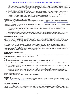# Case: 20-73750, 12/21/2020, ID: 11936705, DktEntry: 1-10, Page 27 of 37

especially if control is achieved on adjacent weeds; (2) a spreading patch of non-controlled plants of a particular weed species; (3) surviving plants mixed with controlled individuals of the same species. If resistance is suspected, prevent weed seed production in the affected area by an alternative herbicide from a different group or by a mechanical method such as hoeing or tillage. Prevent movement of resistant weed seeds to other fields by cleaning harvesting and tillage equipment when moving between fields and by planting clean seed.

- If a weed pest population continues to progress after treatment with this product, switch to another management strategy or herbicide with an effective mode of action, if available, and contact Bayer at 1-844-RRXTEND (1-844-779-8363).
- x Contact your local extension specialist or certified crop advisors for additional pesticide resistance-management and/or integrated weed-management recommendations for specific crops and weed biotypes.
- For further information or to report suspected resistance contact Bayer at 1-844-RRXTEND (1-844-779-8363).

#### **Management of Dicamba-Resistant Biotypes**

Appropriate testing is critical in order to determine if a weed is resistant to dicamba. Contact your Bayer representative to determine if resistance in any particular weed biotype has been confirmed in your area or visit www.iwilltakeaction.com or www.weedscience.org.

The following good agronomic practices can reduce the spread of confirmed dicamba-resistant biotypes, particularly if pursued as soon as signs of resistance are observed:

- If a naturally occurring resistant biotype is present in your field, this product may be tank mixed or applied sequentially with an appropriately labeled herbicide with a different mode of action to achieve control (read "Tank Mixing" section for more information).
- x Cultural and mechanical control practices (*e.g.*, crop rotation or tillage) can also be used as appropriate.
- Scout treated fields after herbicide application and control weed escapes, including resistant biotypes, before they set seed.
- Thoroughly clean equipment, as practical, for all weed seeds before leaving fields known to contain resistant biotypes.

#### **SPRAY DRIFT MANAGEMENT**

THE APPLICATOR IS RESPONSIBLE FOR AVOIDING OFF-SITE SPRAY DRIFT TO THE EXTENT CONSISTENT WITH APPLICABLE LAW. The applicator is responsible for compliance with state and local pesticide regulations, including any state or local pesticide drift regulations. DO NOT allow herbicide solution to mist, drip, drift, or splash onto desirable vegetation because severe injury or destruction to desirable broadleaf plants could result.

Applications using larger droplets reduces drift potential but will not prevent drift if the application is made improperly or under unfavorable environmental conditions. The interaction of weather-related factors and equipment must be monitored to maximize performance and on-target spray deposition. The applicator is responsible for considering all these factors when making a spray decision to the extent consistent with applicable law. BE AWARE OF NEARBY NON-TARGET SITES AND CHANGING ENVIRONMENTAL CONDITIONS (see the "Temperature Inversions" section of this label).

#### **Environmental Requirements**

#### **Wind Speed**

Wind speed must be measured in the field of application at boom height prior to and after application. Only apply when wind speed at boom height is between 3 MPH and 10 MPH during application.

#### **Temperature Inversions**

DO NOT apply this product during a temperature inversion as the off-target movement potential is high.

Applications of this product may ONLY occur one hour after sunrise through two hours before sunset. In general, temperature inversions are more likely during nighttime hours.

- Temperature inversions are characterized by increasing temperature with altitude and are common on nights with limited cloud cover and light to no wind.
- The presence of an inversion can be indicated by ground fog or, if fog is not present, by the movement of smoke from a ground source or an aircraft smoke generator. Smoke that layers and moves laterally in a concentrated cloud (under low wind conditions) indicates an inversion, while smoke that moves upward and rapidly dissipates indicates good vertical air mixing.

#### **Equipment Requirements**

DO NOT APPLY THIS PRODUCT USING AERIAL SPRAY EQUIPMENT.

#### **Nozzle Type**

To produce minimal amounts of fine spray particles, the applicator must use an approved nozzle within a specified pressure range as found at www.xtendimaxapplicationrequirements.com. DO NOT use any other nozzle and pressure combination not specifically listed on this website.

#### **Equipment Ground Speed**

DO NOT exceed a ground speed of 15 miles per hour. Select a ground speed that will deliver the desired spray volume while maintaining the desired spray pressure. Slower speeds generally result in better spray coverage and deposition on the target area. Provided the applicator can maintain the required nozzle pressure, it is recommended that tractor speed is reduced to 5 miles per hour at field edges.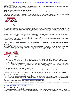#### **Spray Boom Height**

Use the minimum boom height appropriate for spray pattern overlap based on nozzle selection and spacing, according to manufacturer recommendations, or 24 inches above canopy, whichever is smaller.

#### **Adjacent Sensitive Crops and Certain Plants**

DO NOT SPRAY this product when wind is blowing toward adjacent sensitive crops and certain plants, as defined immediately below.

It is important for the applicator to be aware that wind direction may vary during the application. If wind direction shifts such that the wind is blowing toward adjacent sensitive crops and/or certain plants, the applicator **must STOP** the application.



Before making an application, 1) consult a sensitive crop registry (such as FieldWatch or state/federal registry), 2) survey adjacent fields and areas, and 3) confirm the type or variety of plants and crops surrounding the field prior to application. At a minimum, records must include the name of the sensitive crop registry, the date it was consulted, documentation of adjacent plants and crops/areas surrounding the field of application, and the date the survey was conducted.

Dicamba-sensitive crops and/or certain plants include, but are not limited to, non-dicamba-tolerant soybeans and cotton, tomatoes and other fruiting vegetables (EPA crop group 8), fruit trees, cucurbits (EPA crop group 9), grapes, beans, flowers, ornamentals, peas, potatoes, sunflower, tobacco, and other broadleaf plants, including if these plants are in a greenhouse. Severe injury or destruction could occur if any contact between this product and these plants occurs. Sensitive crop registries can provide additional information about sensitive crops and sensitive areas.

If you have questions regarding sensitive crop registries contact Bayer at 1-844-RRXTEND (1-844-779-8363) **prior to application**.

#### **Buffer Requirements**

After determining no adjacent sensitive crops and/or certain plants are downwind, the applicator **must always maintain a 240-foot downwind buffer** between the last treated row and the nearest downwind field edge when applying using broadcast open-boom equipment. For reduced downwind buffer distances, refer to "Optional Use of Drift Reduction Technology" section of this label.



The following areas may be included in the buffer distance composition when directly adjacent to the treated field edges:

- Roads, paved or gravel surfaces, mowed grassy areas adjacent to field, and areas of bare ground from recent plowing or grading that are contiguous with the treated field
- Planted agricultural fields containing: corn, dicamba-tolerant cotton, dicamba-tolerant soybean, sorghum, proso millet, small grains, sugarcane, and other crops for which dicamba has a post-emergent approved use. If the applicator intends to include such crops as dicamba-tolerant cotton and/or dicamba-tolerant soybeans in the buffer distance composition, the applicator must confirm the crops are in fact dicamba-tolerant.
- Agricultural fields that have been prepared for planting
- x Areas covered by the footprint of a building, silo, or other man-made structure with walls and/or roof

If you have questions regarding Buffer Requirement, contact Bayer at 1-844-RRXTEND (1-844-779-8363) **prior to application**.

#### **Optional Use of Drift Reduction Technology**

This product may be optionally applied using a hooded/shielded broadcast sprayer or other types of drift reduction technology (DRT) for postemergence weed control as well as residual control of susceptible weeds. The applicator must use an approved nozzle within a specified pressure range as found at www.xtendimaxapplicationrequirements.com. Use of drift reduction technology (DRT) in combination with approved nozzles is recommended to further reduce drift potential.

Applications of this product may qualify for reduced use restrictions, such as a reduced downwind buffer distance, provided a **qualified DRT** listed on www.xtendimaxapplicationrequirements.com is used and operated according to the directions and limitations provided at www.xtendimaxapplicationrequirements.com.

#### **Hooded/Shielded Broadcast Sprayer:**

For hooded/shielded sprayers, all application nozzles must be contained within the enclosed area. Shielding the boom or individual nozzles can reduce the effects of wind. However, it is the responsibility of the applicator to verify that the shields are preventing drift and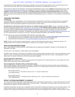#### Case: 20-73750, 12/21/2020, ID: 11936705, DktEntry: 1-10, Page 29 of 37

not interfering with uniform deposition of the product. Applicators must ensure the sprayer system is off or controlled during turns to further prevent spray drift. Refer to the hooded/shielded sprayer manufacturer use specifications prior to use.

*Requirements for Reduced Use Restrictions with Optional Hooded/Shielded Sprayer:* ONLY **qualified** hooded/shielded sprayers listed on www.xtendimaxapplicationrequirements.com are eligible for reduced use restrictions when applying this product. When using a **qualified** hooded/shielded sprayer, the applicator **must always maintain a minimum 110-foot downwind buffer** between the last treated row and the nearest downwind field edge. Consult Endangered Species Protection Bulletins for ESA counties and restrictions. While this product may be applied with other (non-qualified) hooded/shielded sprayers, no reduction in use restrictions is associated with their use.

#### **TANK MIX PARTNERS**

#### **Tank Mixing**

It is the pesticide user's responsibility to ensure that all products are registered for the intended use. Read and follow the applicable restrictions, limitations, and directions for use on all product labels involved in tank mixing. Users must follow the most restrictive directions for use and precautionary statements of each product in the tank mixture.

**All applications of this product require the inclusion of a volatility reduction adjuvant (VRA)**, such as a VaporGrip® Xtra Agent product or an approved VRA equivalent, in the tank mix. The inclusion of a **drift reduction adjuvant (DRA) is also required** in the tank mix, unless otherwise indicated on www.xtendimaxapplicationrequirements.com. Only tank mix products that have been tested and found to not adversely affect the offsite movement potential of XtendiMax® With VaporGrip® Technology may be tank mixed with XtendiMax® With VaporGrip® Technology. The applicator must check the website found at www.xtendimaxapplicationrequirements.com for a list of approved tank mix products no more than 7 days before applying XtendiMax<sup>®</sup> With VaporGrip<sup>®</sup> Technology.

DO NOT tank mix any product with XtendiMax® With VaporGrip® Technology unless:

- 1. The intended tank mix product is identified on the list of tested products found at www.xtendimaxapplicationrequirements.com;
- 2. The intended products are not prohibited on either this label or the label of the tank mix product; and
- 3. All requirements and restrictions on www.xtendimaxapplicationrequirements.com are followed.

**NOTE**: DO NOT use PVA (polyvinyl acetate) packets in a tank mix with products that contain boron or release free chlorine. The resultant reaction of PVA and boron or free chlorine is a plastic that is not soluble in water or solvents.

#### **APPLICATION INSTRUCTIONS**

APPLY THIS PRODUCT USING PROPERLY MAINTAINED AND CALIBRATED EQUIPMENT CAPABLE OF DELIVERING THE REQUIRED VOLUMES.

DO NOT APPLY THIS PRODUCT USING AERIAL SPAY EQUIPMENT.

XtendiMax® With VaporGrip® Technology can be applied to actively growing weeds as broadcast, band, or spot spray applications using water as a carrier. For best results, treat weeds early when they are relatively small (less than 4 inches). Timely application to small weeds early in the season will improve control and reduce weed competition.

#### **Ground Application (Broadcast)**

**Water Volume**: Use a minimum of 15 gallons of spray solution per broadcast acre for optimal performance. Use 20 gallons per acre or greater when treating dense weed canopy/vegetation.

#### **Ground Application (Hooded In-Row and Directed Layby)**

Using a hooded sprayer or other drift reduction technology in combination with approved nozzles may further reduce drift potential. When applying XtendiMax® With VaporGrip® Technology by hooded in-row or layby sprayers, determine the amount of herbicide and water volume needed using the following formula:

band width (inches)  $\frac{m}{2}$  \* broadcast rate per acre = rate per treated acre row width (inches)

band width (inches)

 $\frac{m}{r}$   $\frac{m}{r}$   $\frac{m}{r}$   $\frac{m}{r}$   $\frac{m}{r}$  broadcast spray volume per acre = spray volume per treated acre

#### **SPRAY SYSTEM EQUIPMENT CLEANOUT**

You must ensure that the spray system used to apply this product is clean before using this product. Failure to properly clean the entire spray system can result in inadvertent contamination of the spray system. Contamination of the spray system may cause injury to nondicamba-tolerant soybeans and other sensitive crops.

Inadvertent contamination can also occur in equipment used for bulk product handling and mixing prior to use in the spray system. Care should be taken to reduce contamination not only in the spray system but in any equipment used to transfer or deliver product. For example, bulk handling and mixing equipment containing this product should be segregated when possible to reduce potential for cross-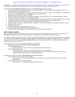# Case: 20-73750, 12/21/2020, ID: 11936705, DktEntry: 1-10, Page 30 of 37

contamination. Consider using block and check valves to avoid backflow during transfer. Piping should be reviewed to ensure there is not potential for product build-up. Dedicated nurse trucks and tender equipment should be used when possible.

Clean equipment **immediately after using** this product, using a **triple rinse** procedure as follows:

- 1. After spraying, drain the sprayer (including boom and lines) immediately. DO NOT allow the spray solution to remain in the spray boom lines overnight prior to flushing.
- 2. Fill tank with clean water (at least 10% volume) and flush tank, hoses, boom, and nozzles. Ensure agitation for 15 minutes and then spray out solution through boom. If equipped, open boom ends and flush.
- 3. Inspect and clean all strainers, screens, and filters.
- 4. Fill tank with clean water (at least 10% of volume) and prepare a cleaning solution with a commercial detergent or sprayer cleaner or ammonia according to the manufacturer's directions.
- 5. Take care to wash all parts of the tank, including the inside top surface. Start agitation in the sprayer and thoroughly recirculate the cleaning solution for at least 15 minutes. All visible deposits must be removed from the spraying system.
- 6. Flush hoses, spray lines, and nozzles for at least 1 minute with the cleaning solution.
- 7. Remove nozzles, screens, and strainers and clean separately in the cleaning solution after completing the above procedures.
- 8. Drain pump, filter, and lines.
- 9. Repeat steps 2 and 3.
- 10. Rinse the complete spraying system with clean water.
- 11. Clean and wash off the outside of the entire sprayer and boom.
- 12. All rinse water must be disposed of in compliance with local, state, and federal guidelines.

#### **ROTATIONAL CROPS**

When counting days from the application of this product, do not count days when the ground is frozen. Moisture is essential for the degradation of this herbicide in soil. If dry weather prevails, use cultivation to allow herbicide contact with moist soil.

No rotational cropping restrictions apply when rotating to soybean with Roundup Ready 2 Xtend® Technology or XtendFlex® Technology or to cotton seed with XtendFlex® Technology (including Bollgard® 3 XtendFlex® Cotton, Bollgard II® XtendFlex® Cotton, or XtendFlex® Cotton). For other crops, the interval between application and planting rotational crop is given below. Planting at intervals less than specified below may result in crop injury.

For application rates of this product of **22 fluid ounces per acre per year:** 

- No planting restrictions apply beyond 120 days after application.
- East of the Mississippi River:
	- o Wait a minimum of 30 days for 22 fluid ounces applied per acre before planting.
- West of the Mississippi River:
	- o Wait a minimum of 45 days for 22 fluid ounces applied per acre before planting.
	- $\circ$  In areas with less than 30 inches of annual rainfall wait a minimum of 100 days before planting (furrow and/or overhead irrigation can be included in rainfall determination).

#### For application rates of this product of **44 to 88 fluid ounces per acre per year:**

In areas with less than 30 inches of annual rainfall:

- o Wait a minimum of 180 days before planting crops (furrow and/or overhead irrigation can be included in rainfall determination).
- In areas with 30 inches or more annual rainfall:
	- o Wait a minimum of 120 days after application before planting.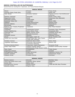# **WEEDS CONTROLLED OR SUPPRESSED**

General Weed List, Including ALS-, Glyphosate-, and Triazine-Resistant Biotypes

| <b>ANNUAL WEEDS</b>                                           |                                                                      |                                       |  |  |
|---------------------------------------------------------------|----------------------------------------------------------------------|---------------------------------------|--|--|
| Alkanet                                                       | Flixweed                                                             | Pusley, Florida                       |  |  |
| Amaranth, Palmer, Powell, Spiny                               | Fumitory                                                             | Radish, Wild                          |  |  |
| Aster, Slender                                                | Goosefoot, Nettleleaf                                                | Ragweed, Common, Giant (Buffaloweed), |  |  |
|                                                               |                                                                      | Lance-Leaf                            |  |  |
| Bedstraw, Catchweed                                           | Hempnettle                                                           | Rocket, London, Yellow                |  |  |
| Beggarweed, Florida                                           | Henbit                                                               | Rubberweed, Bitter (Bitterweed)       |  |  |
| Broomweed, Common                                             | Jacobs-Ladder                                                        | Salsify                               |  |  |
| Buckwheat, Tartary, Wild                                      | Jimsonweed                                                           | Senna, Coffee                         |  |  |
| <b>Buffalobur</b>                                             | Knawel (German Moss)                                                 | Sesbania, Hemp                        |  |  |
| Burclover, California                                         | Knotweed, Prostrate                                                  | Shepherdpurse                         |  |  |
| <b>Burcucumber</b>                                            | Kochia                                                               | Sicklepod                             |  |  |
| Buttercup, Corn, Creeping, Roughseed,<br><b>Western Field</b> | Ladysthumb                                                           | Sida, Prickly (Teaweed)               |  |  |
| Carpetweed                                                    | Lambsquarters Common                                                 | Smartweed, Green, Pennsylvania        |  |  |
| Catchfly, Nightflowering                                      | Lettuce, Miners, Prickly                                             | Sneezeweed, Bitter                    |  |  |
| Chamomile, Corn                                               | Mallow, Common, Venice                                               | Sowthistle, Annual, Spiny             |  |  |
| Chevil, Bur                                                   | Marestail (Horseweed)                                                | <b>Spanish Needles</b>                |  |  |
| Chickweed, Common                                             | Mayweed                                                              | Spikeweed, Common                     |  |  |
| Clovers                                                       | Morningglory, Ivyleaf, Tall                                          | Spurge, Prostrate, Leafy              |  |  |
| Cockle, Corn, Cow, White                                      | Mustard, Black, Blue, Tansy, Treacle,<br>Tumble, Wild, Yellowtops    | Spurry, Corn                          |  |  |
| Cocklebur, Common                                             | Nightshade, Black, Cutleaf                                           | Starbur, Bristly                      |  |  |
| Copperleaf, Hophornbeam                                       | Pennycress, Field (Fanweed,<br>Frenchweed, Stinkweed)                | Starwort, Little                      |  |  |
| Cornflower (Bachelor Button)                                  | Pepperweed, Virginia (Peppergrass)                                   | Sumpweed, Rough                       |  |  |
| Croton, Tropic, Woolly                                        | Pigweed, Prostrate, Redroot<br>(Carelessweed), Rough, Smooth, Tumble | Sunflower, Common (Wild), Volunteer   |  |  |
| Daisy, English                                                | Pineappleweed                                                        | Thistle, Russian                      |  |  |
| Dragonhead, American                                          | Poorioe                                                              | Velvetleaf                            |  |  |
| Eveningprimrose, Cutleaf                                      | Poppy, Red-horned                                                    | Waterhemp, Common, Tall               |  |  |
| Falseflax, Smallseed                                          | Puncturevine                                                         | Waterprimrose, Winged                 |  |  |
| Fleabane, Annual                                              | Purslane, Common                                                     | Wormwood                              |  |  |

| <b>BIENNIAL WEEDS</b>            |                            |                                      |  |
|----------------------------------|----------------------------|--------------------------------------|--|
| Burdock, Common                  | Gromwell                   | Starthistle, Yellow                  |  |
| Carrot, Wild (Queen Anne's Lace) | Knapweed, Diffuse, Spotted | Sweetclover                          |  |
| Cockle, White                    | Mallow, Dwarf              | Teasel                               |  |
| Eveningprimrose, Common          | Plantain, Bracted          | Thistle, Bull, Milk, Musk, Plumeless |  |
| Geranium, Carolina               | Ragwort, Tansy             |                                      |  |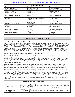| <b>PERENNIAL WEEDS</b>                            |                                                                  |                              |  |  |
|---------------------------------------------------|------------------------------------------------------------------|------------------------------|--|--|
| Alfalfa                                           | Garlic, Wild                                                     | Smartweed, Swamp             |  |  |
| Artichoke, Jerusalem                              | Goldenrod, Canada, Missouri                                      | Snakeweed, Broom             |  |  |
| Aster, Spiny, Whiteheath                          | Goldenweed, Common                                               | Sorrel, Red (Sheep Sorrel)   |  |  |
| Bedstraw, Smooth                                  | Hawkweed                                                         | Sowthistle, Perennial        |  |  |
| Bindweed, Field, Hedge                            | Henbane, Black                                                   | Spurge, Leafy                |  |  |
| Blueweed, Texas                                   | Horsenettle, Carolina                                            | Sundrops                     |  |  |
| Bursage, Woollyleaf (Bur Ragweed,<br>Povertyweed) | <b>Ironweed</b>                                                  | Thistle, Canada, Scotch      |  |  |
| Buttercup, Tall                                   | Knapweed, Black, Diffuse, Russian,<br>Spotted                    | Toadflex, Dalmatian          |  |  |
| Campion, Bladder                                  | Milkweed, Climbing, Common, Honeyvine,<br><b>Western Whorled</b> | <b>Tropical Soda Apple</b>   |  |  |
| Chickweed, Field, Mouseear                        | Nettle, Stinging                                                 | Trumpetcreeper (Buckvine)    |  |  |
| Chicory                                           | Nightshade, Silverleaf (White Horsenettle)                       | Vetch                        |  |  |
| Clover, Hop                                       | Onion, Wild                                                      | Waterhemlock, Spotted        |  |  |
| Dandelion, Common                                 | Plantain, Broadleaf, Buckhorn                                    | Waterprimrose, Creeping      |  |  |
| Dock Broadleaf (Bitterdock), Curly                | Pokeweed                                                         | Woodsorrel, Creeping, Yellow |  |  |
| Dogbane, Hemp                                     | Ragweed, Western                                                 | Wormwood, Absinth, Louisiana |  |  |
| Dogfennel (Cypressweed)                           | Redvine                                                          | Yankeeweed                   |  |  |
| Fern, Bracken                                     | Sericia Lespedeza                                                | Yarrow, Common               |  |  |

# **SPECIFIC USE DIRECTIONS**

# **CROPS WITH XTEND® TECHNOLOGY**

Cotton with XtendFlex<sup>®</sup> Technology (including Bollgard II® XtendFlex® COTTON, Bollgard® 3 XtendFlex® COTTON, or XtendFlex® COTTON) and soybean with Roundup Ready 2 Xtend® Technology or XtendFlex® Technology CONTAIN A PATENTED GENE THAT PROVIDES TOLERANCE TO DICAMBA, THE ACTIVE INGREDIENT IN THIS PRODUCT. THIS PRODUCT WILL CAUSE SEVERE CROP INJURY OR DESTRUCTION AND YIELD LOSS IF APPLIED TO COTTON AND SOYBEAN THAT ARE NOT DICAMBA TOLERANT, INCLUDING COTTON AND SOYBEAN WITH A TRAIT ENGINEERED TO CONFER TOLERANCE TO AUXIN HERBICIDES OTHER THAN DICAMBA. FOLLOW THE REQUIREMENTS SET FORTH HEREIN TO PREVENT SEVERE CROP INJURY OR DESTRUCTION AND YIELD LOSS. CONTACT WITH FOLIAGE, GREEN STEMS, OR FRUIT OF CROPS, OR ANY DESIRABLE PLANTS THAT DO NOT CONTAIN A DICAMBA TOLERANCE GENE OR ARE NOT NATURALLY TOLERANT TO DICAMBA, COULD RESULT IN SEVERE PLANT INJURY OR DESTRUCTION.

XtendiMax® With VaporGrip® Technology is approved by U.S. EPA for use in cotton with XtendFlex® Technology and in soybean with Roundup Ready 2 Xtend® Technology or XtendFlex® Technology only in the following states, subject to county restriction as noted: Alabama, Arkansas, Arizona, Colorado, Delaware, Florida (excluding Palm Beach County), Georgia, Illinois, Indiana, Iowa, Kansas, Kentucky, Louisiana, Maryland, Michigan, Minnesota, Mississippi, Missouri, Nebraska, New Jersey, New Mexico, New York, North Carolina, North Dakota, Oklahoma, Ohio, Pennsylvania, South Carolina, South Dakota, Tennessee (excluding Wilson County), Texas, Virginia, West Virginia, Wisconsin.

Information on cotton with XtendFlex® Technology and on soybean with Roundup Ready 2 Xtend® Technology or XtendFlex® Technology can be obtained from your seed supplier or Bayer representative. Cotton with XtendFlex® Technology and soybean with Roundup Ready 2 Xtend® Technology or XtendFlex® Technology must be purchased from an authorized licensed seed supplier.

Cotton with XtendFlex® Technology, soybean with Roundup Ready 2 Xtend® Technology or XtendFlex® Technology, and methods of controlling weeds and applying dicamba in cotton with XtendFlex® Technology and in soybean with Roundup Ready 2 Xtend® Technology or XtendFlex® Technology are protected under U.S. patent law. No license to use cotton with XtendFlex® Technology or soybean with Roundup Ready 2 Xtend<sup>®</sup> Technology or XtendFlex<sup>®</sup> Technology is granted or implied with the purchase of this herbicide product. Cotton with XtendFlex® Technology and soybean with Roundup Ready 2 Xtend® Technology or XtendFlex® Technology are owned by Bayer and a license must be obtained from Bayer before using it. Contact your Authorized Bayer Retailer for information on obtaining a license to use cotton with XtendFlex® Technology and soybean with Roundup Ready 2 Xtend® Technology or XtendFlex® Technology.

| <b>COTTON WITH XTENDFLEX<sup>®</sup> TECHNOLOGY</b> |                                                                                                                                                                                                                                                                                                                                                                             |  |
|-----------------------------------------------------|-----------------------------------------------------------------------------------------------------------------------------------------------------------------------------------------------------------------------------------------------------------------------------------------------------------------------------------------------------------------------------|--|
| <b>Application Rate</b>                             | Burndown/Early Preplant, Preplant, At-Planting, Preemergence: Apply ONLY 22 fluid ounces (0.5)<br>Ib. acid equivalent (a.e.) dicamba) per acre for a single burndown/early preplant, preplant, at-planting,<br>or preemergence application.<br>Postemergence (in-crop): For any single, in-crop application, apply ONLY 22 fluid ounces (0.5 lb.<br>a.e. dicamba) per acre. |  |
| <b>Maximum Annual</b>                               | Total of all Burndown/Early Preplant, Preplant, At-Planting, and Preemergence applications: 44 fluid                                                                                                                                                                                                                                                                        |  |
| <b>Rates</b>                                        | ounces per acre (1.0 lb. a.e. dicamba per acre)                                                                                                                                                                                                                                                                                                                             |  |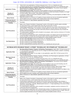# Case: 20-73750, 12/21/2020, ID: 11936705, DktEntry: 1-10, Page 33 of 37

|                                        | Total of all in-crop applications: 44 fluid ounces per acre (1.0 lb. a.e. dicamba per acre)<br>$\bullet$                                                                                                                                                                                                                                                                                                                                                                                                                                                                                                                                                                                                                                                                                                                                                                                                                                                                                                                                       |
|----------------------------------------|------------------------------------------------------------------------------------------------------------------------------------------------------------------------------------------------------------------------------------------------------------------------------------------------------------------------------------------------------------------------------------------------------------------------------------------------------------------------------------------------------------------------------------------------------------------------------------------------------------------------------------------------------------------------------------------------------------------------------------------------------------------------------------------------------------------------------------------------------------------------------------------------------------------------------------------------------------------------------------------------------------------------------------------------|
|                                        | Combined total per year for all applications: 88 fluid ounces per acre (2.0 lb. a.e. dicamba per acre)<br>$\bullet$                                                                                                                                                                                                                                                                                                                                                                                                                                                                                                                                                                                                                                                                                                                                                                                                                                                                                                                            |
| <b>Application Timing</b>              | Burndown/Early Preplant, Preplant, At-Planting, Preemergence: This product may be applied<br>$\bullet$<br>before, during, or immediately after planting.<br>Postemergence (in-crop): This product may be applied in-crop up to and including July 30.<br>$\bullet$                                                                                                                                                                                                                                                                                                                                                                                                                                                                                                                                                                                                                                                                                                                                                                             |
| Number of<br><b>Applications</b>       | Sequential applications of this product may be necessary to control new flushes of weeds or on tough-<br>$\bullet$<br>to-control weeds. Allow at least 7 days between applications.<br>A maximum of two burndown/early preplant, preplant, at-planting, and preemergence and two in-crop<br>$\bullet$<br>applications may be made.                                                                                                                                                                                                                                                                                                                                                                                                                                                                                                                                                                                                                                                                                                             |
| <b>Spray Volume</b>                    | Apply this product in a minimum of 15 gallons of spray solution per acre as a broadcast application.<br>$\bullet$<br>Use 20 gallons per acre or greater when treating dense weed canopy/vegetation.                                                                                                                                                                                                                                                                                                                                                                                                                                                                                                                                                                                                                                                                                                                                                                                                                                            |
| <b>Preharvest Interval</b>             | Allow a minimum of 7 days between application and harvest.<br>$\bullet$                                                                                                                                                                                                                                                                                                                                                                                                                                                                                                                                                                                                                                                                                                                                                                                                                                                                                                                                                                        |
| <b>Livestock Grazing or</b><br>Feeding | Permitted.<br>$\bullet$                                                                                                                                                                                                                                                                                                                                                                                                                                                                                                                                                                                                                                                                                                                                                                                                                                                                                                                                                                                                                        |
| <b>Use Precautions</b>                 | Refer to the "Weeds Controlled or Suppressed" section of this label for specific weeds controlled.<br>$\bullet$<br>For best performance, control weeds early when they are less than 4 inches.<br>$\bullet$<br>Postemergence applications of this product mixed with adjuvants may cause a leaf response to cotton<br>$\bullet$<br>with XtendFlex® Technology. The symptoms usually appear as necrotic spots on fully expanded<br>leaves. EC-based products that are tank mixed with products containing dicamba may increase the<br>severity of the leaf damage.<br>For postemergence applications with a hooded in-row sprayer, cotton must be a minimum of 15 inches<br>$\bullet$<br>tall at the time of application.<br>For postemergence applications with a directed layby sprayer, the release point for the herbicide must<br>$\bullet$<br>not be more than 10 inches from the soil and cotton must be at least 20 inches in height. Spray tip<br>must be angled downward to the soil making sure no spray droplets remain in the air. |
| <b>Use Restrictions</b>                | DO NOT apply less than 22 fluid ounces (0.5 lb. a.e. dicamba) per acre.<br>$\bullet$<br>DO NOT apply more than 22 fluid ounces (0.5 lb. a.e. dicamba) per acre.<br>$\bullet$<br>DO NOT exceed two pre-emergent applications.<br>$\bullet$<br>DO NOT exceed two post-emergent applications.<br>$\bullet$<br>DO NOT exceed 88 fluid ounces per acre (2.0 lb. a.e. dicamba per acre) per year.<br>$\bullet$                                                                                                                                                                                                                                                                                                                                                                                                                                                                                                                                                                                                                                       |

| SOYBEAN WITH ROUNDUP READY 2 XTEND® TECHNOLOGY OR XTENDFLEX® TECHNOLOGY |                                                                                                                                                                                                                                                                                                                                                                                                                                                                                                                                                                                                                                                                                                                                                                                                                                                                                                                                                                                                                                                      |  |
|-------------------------------------------------------------------------|------------------------------------------------------------------------------------------------------------------------------------------------------------------------------------------------------------------------------------------------------------------------------------------------------------------------------------------------------------------------------------------------------------------------------------------------------------------------------------------------------------------------------------------------------------------------------------------------------------------------------------------------------------------------------------------------------------------------------------------------------------------------------------------------------------------------------------------------------------------------------------------------------------------------------------------------------------------------------------------------------------------------------------------------------|--|
| <b>Application Rate</b>                                                 | Burndown/Early Preplant, Preplant, At-Planting, Preemergence: Apply ONLY 22 fluid ounces (0.5<br>$\bullet$<br>Ib. acid equivalent (a.e.) dicamba) per acre for a single burndown/early preplant, preplant, at-planting,<br>or preemergence application.<br>Postemergence (in-crop): For any single, in-crop application, apply ONLY 22 fluid ounces (0.5 lb.<br>a.e. dicamba) per acre.                                                                                                                                                                                                                                                                                                                                                                                                                                                                                                                                                                                                                                                              |  |
| <b>Maximum Annual</b><br><b>Rates</b>                                   | Total of all Burndown/Early Preplant, Preplant, At-Planting, and Preemergence applications: 44 fluid<br>$\bullet$<br>ounces per acre (1.0 lb. a.e. dicamba per acre)<br>Total of all in-crop applications: 44 fluid ounces per acre (1.0 lb. a.e. dicamba per acre)<br>$\bullet$<br>Combined total per year for all applications: 88 fluid ounces per acre (2.0 lb. a.e. dicamba per acre)<br>$\bullet$                                                                                                                                                                                                                                                                                                                                                                                                                                                                                                                                                                                                                                              |  |
| <b>Application Timing</b>                                               | Burndown/Early Preplant, Preplant, At-Planting, Preemergence: This product may be applied<br>$\bullet$<br>before, during, or immediately after planting.<br><b>Postemergence (in-crop):</b> This product may only be applied in-crop up to and including June 30.<br>Applications occurring after R1 are prohibited as crop response may occur.                                                                                                                                                                                                                                                                                                                                                                                                                                                                                                                                                                                                                                                                                                      |  |
| Number of<br><b>Applications</b>                                        | A second application may be necessary to control new flushes of weeds. Allow at least 7 days<br>$\bullet$<br>between applications. For best results, apply after some weed re-growth has occurred.<br>A maximum of two burndown/early preplant, preplant, at-planting, and preemergence and two in-crop<br>$\bullet$<br>applications may be made.                                                                                                                                                                                                                                                                                                                                                                                                                                                                                                                                                                                                                                                                                                    |  |
| <b>Spray Volume</b>                                                     | Apply this product in a minimum of 15 gallons of spray solution per acre as a broadcast application.<br>$\bullet$<br>Use 20 gallons per acre or greater when treating dense weed canopy/vegetation.<br>$\bullet$                                                                                                                                                                                                                                                                                                                                                                                                                                                                                                                                                                                                                                                                                                                                                                                                                                     |  |
| <b>Preharvest Interval</b>                                              | Allow a minimum of 7 days between application and harvest.<br>$\bullet$                                                                                                                                                                                                                                                                                                                                                                                                                                                                                                                                                                                                                                                                                                                                                                                                                                                                                                                                                                              |  |
| <b>Livestock Grazing or</b><br>Feeding                                  | Permitted.<br>$\bullet$                                                                                                                                                                                                                                                                                                                                                                                                                                                                                                                                                                                                                                                                                                                                                                                                                                                                                                                                                                                                                              |  |
| <b>Use Precautions</b>                                                  | Refer to the "Weeds Controlled or Suppressed" section of this label for specific weeds controlled.<br>$\bullet$<br>For best performance, control weeds early when they are less than 4 inches.<br>$\bullet$<br>Postemergence application under stressful environments may cause temporary loss of turgor, a<br>$\bullet$<br>response commonly described as leaf droop in soybean with Roundup Ready 2 Xtend® Technology or<br>XtendFlex® Technology. Typically, affected plants recover in 1-3 days depending on the level of droop<br>and environmental conditions.<br>For postemergence applications with a hooded in-row sprayer, soybeans must be a minimum of 15<br>$\bullet$<br>inches tall at the time of application.<br>For postemergence applications with a directed layby sprayer, the release point for the herbicide must<br>$\bullet$<br>not be more than 10 inches from the soil and soybeans must be at least 20 inches in height. Spray tip<br>must be angled downward to the soil making sure no spray droplets remain in the air |  |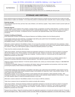# Case: 20-73750, 12/21/2020, ID: 11936705, DktEntry: 1-10, Page 34 of 37

|                         | DO NOT apply less than 22 fluid ounces (0.5 lb. a.e. dicamba) per acre.          |
|-------------------------|----------------------------------------------------------------------------------|
|                         | DO NOT apply more than 22 fluid ounces (0.5 lb. a.e. dicamba) per acre.          |
| <b>Use Restrictions</b> | DO NOT exceed two pre-emergent applications.                                     |
|                         | DO NOT exceed two post-emergent applications.                                    |
|                         | DO NOT exceed 88 fluid ounces per acre (2.0 lb. a.e. dicamba per acre) per year. |
|                         |                                                                                  |

# **STORAGE AND DISPOSAL**

Proper pesticide storage and disposal are essential to protect against exposure to people and the environment due to leaks and spills, excess product or waste, and vandalism. Do not allow this product to contaminate water, foodstuffs, feed or seed by storage or disposal.

#### **Pesticide storage**

Store pesticides away from food, pet food, feed, seed, fertilizers, and veterinary supplies. Keep container closed to prevent spills and contamination.

#### **Pesticide disposal**

To avoid wastes, use all material in this container, including rinsate, by application according to label directions. If wastes cannot be avoided, offer remaining product to a waste disposal facility or pesticide disposal program. Such programs are often run by state or local governments or by industry. All disposal must be in accordance with applicable federal, state, and local regulations and procedures.

#### **Container handling and disposal**

[*Insert appropriate Container Handling and Disposal Statement and Refilling Limitation from the following options*]

[*CONTAINER HANDLING AND DISPOSAL STATEMENT AND REFILLING LIMITATION FOR NONREFILLABLE RIGID CONTAINERS OF LESS THAN 1-GALLON CAPACITY*] Nonrefillable container. Do not reuse or refill this container.

[*Alternative container statement:* Nonrefillable container. Do not reuse this container to hold materials other than pesticides or dilute pesticides (rinsate). After emptying and cleaning, it may be allowable to temporarily hold rinsate or other pesticide-related materials in this container. Contact your state regulatory agency to determine allowable practices in your state.]

Triple rinse this container promptly after emptying.

Triple rinse as follows: Empty the remaining contents into application equipment or mix-tank and continue to drain for 10 seconds after the flow begins to drip. Fill the container ¼ full with water and recap. Shake for 10 seconds. Pour rinsate into application equipment or mix-tank, or store rinsate for later use or disposal. Continue to drain for 10 seconds after the flow begins to drip. Repeat this procedure two more times.

Once properly rinsed, some plastic [*Optional text:* agricultural] pesticide containers can be taken to a container collection site or picked up for recycling. [*Alternative container disposal statement:* Then offer the container for recycling, if available.]

[*Optional container disposal statement:* To find the nearest collection site, contact your chemical dealer or Bayer at 1-866-99BAYER (1-866-992-2937).]

If recycling is not available, dispose of in accordance with federal, state and local regulations and procedures, which may include puncturing the properly rinsed container and disposing in a sanitary landfill.

#### [*CONTAINER HANDLING AND DISPOSAL STATEMENT AND REFILLING LIMITATION FOR NONREFILLABLE RIGID PLASTIC 2.5-GALLON CONTAINER AND OTHER NONREFILLABLE CONTAINERS OF GREATER THAN 1-GALLON BUT EQUAL TO OR LESS THAN 5-GALLON CAPACITY*]

Nonrefillable container. Do not reuse this container to hold materials other than pesticides or dilute pesticides (rinsate). After emptying and cleaning, it may be allowable to temporarily hold rinsate or other pesticide-related materials in this container. Contact your state regulatory agency to determine allowable practices in your state.

[*Alternative container statement:* Nonrefillable container. Do not reuse or refill this container.]

Triple rinse or pressure rinse (or equivalent) this container promptly after emptying.

Triple rinse as follows: Empty the remaining contents into application equipment or mix-tank and continue to drain for 10 seconds after the flow begins to drip. Fill the container ¼ full with water and recap. Shake for 10 seconds. Pour rinsate into application equipment or mix-tank, or store rinsate for later use or disposal. Continue to drain for 10 seconds after the flow begins to drip. Repeat this procedure two more times.

Pressure rinse as follows: Empty the remaining contents into application equipment or mix-tank and continue to drain for 10 seconds after the flow begins to drip. Place container so that it can drain directly into application equipment or mix-tank while rinsing, or collect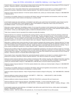rinsate for later use or disposal. Insert pressure rinsing nozzle into the side of the container and rinse at about 40 PSI for at least 30 seconds. Continue to drain for 10 seconds after the flow begins to drip.

Once properly rinsed, some plastic [*Optional text:* agricultural] pesticide containers can be taken to a container collection site or picked up for recycling. [*Alternative container disposal statement:* Then offer the container for recycling, if available.]

[*Optional container disposal statement:* To find the nearest collection site, contact your chemical dealer or Bayer at 1-866-99BAYER (1-866-992-2937).]

If recycling is not available, dispose of in accordance with federal, state and local regulations and procedures, which may include puncturing the properly rinsed container and disposing in a sanitary landfill.

[*CONTAINER HANDLING AND DISPOSAL STATEMENT AND REFILLING LIMITATION FOR NONREFILLABLE RIGID PLASTIC 30-GALLON CONTAINER AND OTHER NONREFILLABLE CONTAINERS OF GREATER THAN 5-GALLON CAPACITY*] Nonrefillable container. Do not reuse or refill this container.

[*Alternative container statement:* Nonrefillable container. Do not reuse this container to hold materials other than pesticides or dilute pesticides (rinsate). After emptying and cleaning, it may be allowable to temporarily hold rinsate or other pesticide-related materials in this container. Contact your state regulatory agency to determine allowable practices in your state.]

Triple rinse or pressure rinse (or equivalent) this container promptly after emptying.

[*Optional label text:* For containers not equipped with pumping systems,] Triple rinse as follows: Empty the remaining contents into application equipment or mix-tank. Fill the container 1/4 full with water. Replace and tighten closures. Tip the container on its side and roll it back and forth for 30 seconds, ensuring at least one complete revolution. Stand the container on its end and tip it back and forth several times. Turn the container over onto its other end and tip it back and forth several times. Empty the rinsate into application equipment or mix-tank, or store rinsate for later use or disposal. Repeat this procedure two more times.

[*Alternative or additional triple rinsing instructions for large containers equipped with pumping systems:* [*Optional label text:* For large containers equipped with pumping systems,] Triple rinse as follows: Empty the remaining contents into application equipment or mixtank. Fill the container about 10 percent full with water. Agitate vigorously or recirculate water with the pump for 2 minutes. Pour or pump rinsate into application equipment or rinsate collection system. Repeat this rinsing procedure two more times.]

Pressure rinse as follows: Empty the remaining contents into application equipment or mix-tank and continue to drain for 10 seconds after the flow begins to drip. Place container so that it can drain directly into application equipment or mix-tank while rinsing, or collect rinsate for later use or disposal. Insert pressure rinsing nozzle into the side of the container and rinse at about 40 PSI for at least 30 seconds. Continue to drain for 10 seconds after the flow begins to drip.

Once properly rinsed, some plastic [*Optional text:* agricultural] pesticide containers can be taken to a container collection site or picked up for recycling. [*Alternative container disposal statement:* Then offer the container for recycling, if available.]

[*Optional container disposal statement:* Some container manufacturers offer container recycling. See additional information regarding manufacturer recycling programs attached to this container, if available. If no recycling information is available on this container, contact your chemical dealer or Bayer at 1-866-99BAYER (1-866-992-2937) to find the nearest recycling location.]

[*Optional container disposal statement:* To find the nearest collection site, contact your chemical dealer or Bayer at 1-866-99BAYER (1-866-992-2937).]

If recycling is not available, dispose of in accordance with federal, state and local regulations and procedures, which may include puncturing the properly rinsed container and disposing in a sanitary landfill.

[*Optional container disposal statement:* Return Properly Rinsed Container to Bayer for Recycling – Call 1-866-99BAYER (1-866-992- 2937).]

[*Optional additional container disposal statement:* IBC EMPTY? – FREE CALL – 1-888-SCHUETZ (1-888-724-8389) www.schuetz.net/ticket; Schuetz ticket service]

[*Optional additional container disposal statement:* FREE IBC PICKUP] [For continental USA and Canada only.]

[*Optional additional container disposal statement:* RETURNnet SYSTEM – To return empty IBC's Email or Call – www.returnnetsystem.com – 1-888-758-SHIP (1-888-758-7447) – United States and Canada – IBCNA – Clarkston, Michigan – USA]

[*CONTAINER HANDLING AND DISPOSAL STATEMENT AND REFILLING LIMITATION FOR ALL REFILLABLE CONTAINERS, EXCEPT TRANSPORT VEHICLES*] Refillable container. Refill this container with pesticide only. Do not reuse this container for any other purpose.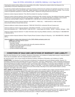#### Case: 20-73750, 12/21/2020, ID: 11936705, DktEntry: 1-10, Page 36 of 37

Cleaning this container before refilling is the responsibility of the refiller. Cleaning this container before final disposal is the responsibility of the person disposing of the container.

To clean this container before final disposal, empty the remaining contents from the container into application equipment or mix-tank. Fill the container about 10 percent full with water. Agitate vigorously or recirculate water with the pump for 2 minutes. Pour or pump rinsate into application equipment or rinsate collection system. Repeat this rinsing procedure two more times.

[*Optional container disposal statement:* Then offer the container for recycling, if available.]

[*Optional container disposal statement:* Some container manufacturers offer container recycling. See additional information regarding manufacturer recycling programs attached to this container, if available. If no recycling information is available on this container, contact your chemical dealer or Bayer at 1-866-99BAYER (1-866-992-2937) to find the nearest recycling location.]

[*Optional additional container disposal statement:* IBC EMPTY? – FREE CALL – 1-888-SCHUETZ (1-888-724-8389) www.schuetz.net/ticket; Schuetz ticket service]

[*Optional additional container disposal statement:* FREE IBC PICKUP] [For continental USA and Canada only.]

[*Optional additional container disposal statement:* RETURNnet SYSTEM – To return empty IBC's Email or Call – www.returnnetsystem.com – 1-888-758-SHIP (1-888-758-7447) – United States and Canada – IBCNA – Clarkston, Michigan – USA]

[*Optional container disposal statement:* To obtain information about recycling refillable containers, contact Bayer at 1-866-99BAYER (1-866-992-2937).]

[*Optional container disposal statement:* Return Properly Rinsed Container to Bayer for Recycling – Call 1-866-99BAYER (1-866-992- 2937).]

[*Optional additional container label statements for the CUBE refillable packaging system only:*

**CUBE** Bayer Refillable Delivery System

- FEATURES INCLUDE:
- Automatic Venting
- Heavy duty one-way 2-inch camloc ball valve with protective shield door
- Complete coated steel protective enclosure
- Durable 4-way plastic pallet
- Lift door to access one-way valve]

# **CONDITIONS OF SALE AND LIMITATIONS OF WARRANTY AND LIABILITY**

Read the entire Directions for Use, Conditions, Disclaimer of Warranties, and Limitations of Liability before buying or using this product. If terms are not acceptable, return the unopened product container at once.

By using this product, user or buyer accepts the following Conditions, Disclaimer of Warranties, and Limitations of Liability.

**CONDITIONS:** The directions for use of this product are believed to be adequate and must be followed carefully. However, it is impossible to eliminate all risks associated with the use of this product. Crop injury, ineffectiveness, or other unintended consequences may result because of such factors as weather conditions, presence of other materials, or the manner of use or application inconsistent with this label (including conditions noted on the label , such as unfavorable soil conditions, unfavorable climate conditions, etc.), all of which are beyond the control of Bayer CropScience LP ("Bayer") or the seller. To the extent consistent with applicable law, all such risks shall be assumed by the user or buyer. Buyer and all users shall promptly notify Bayer of any claims whether based in contract, negligence, strict liability, other tort or otherwise

**DISCLAIMER OF WARRANTIES:** Subject to risks as set forth in the Conditions above, Bayer warrants that this product is reasonably fit for the purposes stated on the label when used for the purposes stated on the label when used in accordance with directions. TO THE EXTENT CONSISTENT WITH APPLICABLE LAW, BAYER MAKES NO OTHER WARRANTIES, EXPRESS OR IMPLIED, OF MERCHANTABILITY OR OF FITNESS FOR A PARTICULAR PURPOSE OR OTHERWISE. BAYER MAKES NO RECOMMENDATION OR WARRANTY HEREIN REGARDING THE USE OF ANY PRODUCTS THAT MAY APPEAR ON THE WEBSITE REFERENCED IN THE TANK MIXING INSTRUCTIONS HEREIN, REGARDLESS OF WHETHER SUCH PRODUCT IS USED ALONE OR IN A TANK MIX WITH XtendiMax<sup>®</sup> With VaporGrip<sup>®</sup> Technology. TO THE EXTENT CONSISTENT WITH APPLICABLE LAW, BAYER DISCLAIMS ANY LIABILITY WHATSOEVER FOR SPECIAL, INCIDENTAL, OR CONSEQUENTIAL DAMAGES RESULTING FROM THE USE OR HANDLING OF THIS PRODUCT. TO THE EXTENT CONSISTENT WITH APPLICABLE LAW, FOR IN-CROP (OVER-THE-TOP) USES ON CROPS WITH XTEND® TECHNOLOGY, CROP SAFETY AND WEED CONTROL PERFORMANCE ARE NOT WARRANTED BY BAYER WHEN THIS PRODUCT IS USED IN CONJUNCTION WITH "BROWN BAG" OR "BIN RUN" SEED SAVED FROM PREVIOUS YEAR'S PRODUCTION AND REPLANTED. FURTHER, TO THE EXTENT CONSISTENT WITH APPLICABLE LAW, BAYER DOES NOT WARRANT THE WEED CONTROL PERFORMANCE OF DICAMBA-RESISTANT WEED BIOTYPES.

**LIMITATIONS OF LIABILITY:** To the extent consistent with applicable law, the exclusive remedy of the user or buyer for any and all losses, injuries, or damages resulting from the use or handling of this product, whether in contract, warranty, tort, negligence, strict liability or otherwise, shall not exceed the purchase price paid, or at Bayer's election, the replacement of product.